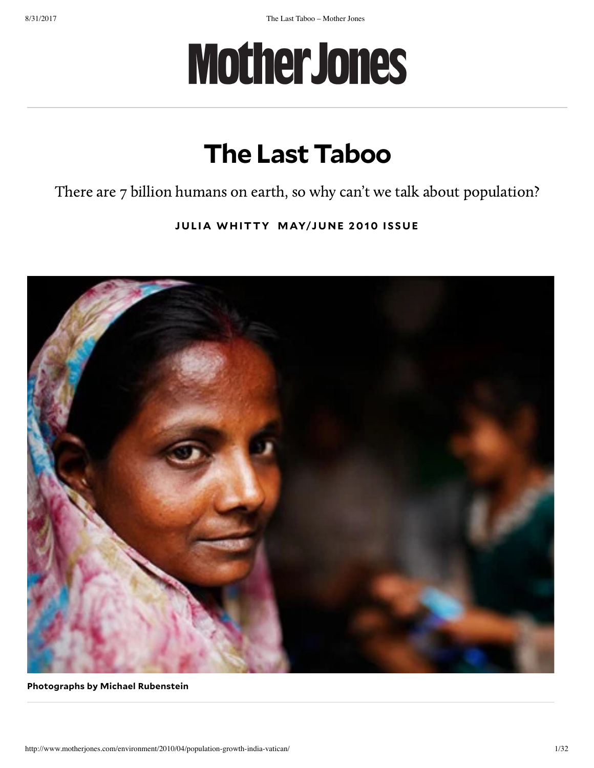# **MotherJones**

## **The Last Taboo**

There are 7 billion humans on earth, so why can't we talk about population?

**JUL I A WH [ITTY](http://www.motherjones.com/author/julia-whitty/) [MAYJU](http://www.motherjones.com/toc/2010/05) N E 2010 I S SUE**



### **Photographs by Michael Rubenstein**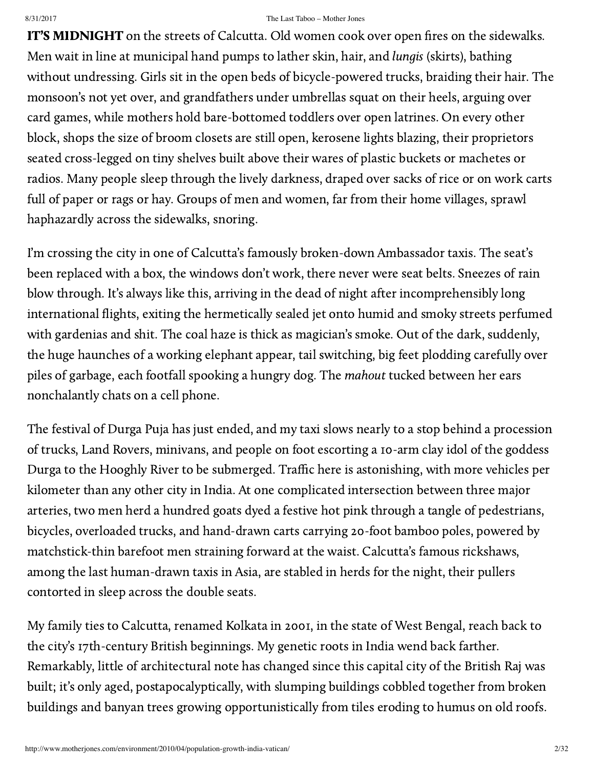IT'S MIDNIGHT on the streets of Calcutta. Old women cook over open fires on the sidewalks. Men wait in line at municipal hand pumps to lather skin, hair, and lungis (skirts), bathing without undressing. Girls sit in the open beds of bicycle-powered trucks, braiding their hair. The monsoon's not yet over, and grandfathers under umbrellas squat on their heels, arguing over card games, while mothers hold bare-bottomed toddlers over open latrines. On every other block, shops the size of broom closets are still open, kerosene lights blazing, their proprietors seated cross-legged on tiny shelves built above their wares of plastic buckets or machetes or radios. Many people sleep through the lively darkness, draped over sacks of rice or on work carts full of paper or rags or hay. Groups of men and women, far from their home villages, sprawl haphazardly across the sidewalks, snoring.

I'm crossing the city in one of Calcutta's famously broken-down Ambassador taxis. The seat's been replaced with a box, the windows don't work, there never were seat belts. Sneezes of rain blow through. It's always like this, arriving in the dead of night after incomprehensibly long international flights, exiting the hermetically sealed jet onto humid and smoky streets perfumed with gardenias and shit. The coal haze is thick as magician's smoke. Out of the dark, suddenly, the huge haunches of a working elephant appear, tail switching, big feet plodding carefully over piles of garbage, each footfall spooking a hungry dog. The mahout tucked between her ears nonchalantly chats on a cell phone.

The festival of Durga Puja has just ended, and my taxi slows nearly to a stop behind a procession of trucks, Land Rovers, minivans, and people on foot escorting a 10-arm clay idol of the goddess Durga to the Hooghly River to be submerged. Traffic here is astonishing, with more vehicles per kilometer than any other city in India. At one complicated intersection between three major arteries, two men herd a hundred goats dyed a festive hot pink through a tangle of pedestrians, bicycles, overloaded trucks, and hand-drawn carts carrying 20-foot bamboo poles, powered by matchstick-thin barefoot men straining forward at the waist. Calcutta's famous [rickshaws](http://ngm.nationalgeographic.com/2008/04/kolkata-rickshaws/calvin-trillin-text), among the last human-drawn taxis in Asia, are stabled in herds for the night, their pullers contorted in sleep across the double seats.

My family ties to Calcutta, renamed Kolkata in 2001, in the state of West Bengal, reach back to the city's 17th-century British beginnings. My genetic roots in India wend back farther. Remarkably, little of architectural note has changed since this capital city of the British Raj was built; it's only aged, postapocalyptically, with slumping buildings cobbled together from broken buildings and banyan trees growing opportunistically from tiles eroding to humus on old roofs.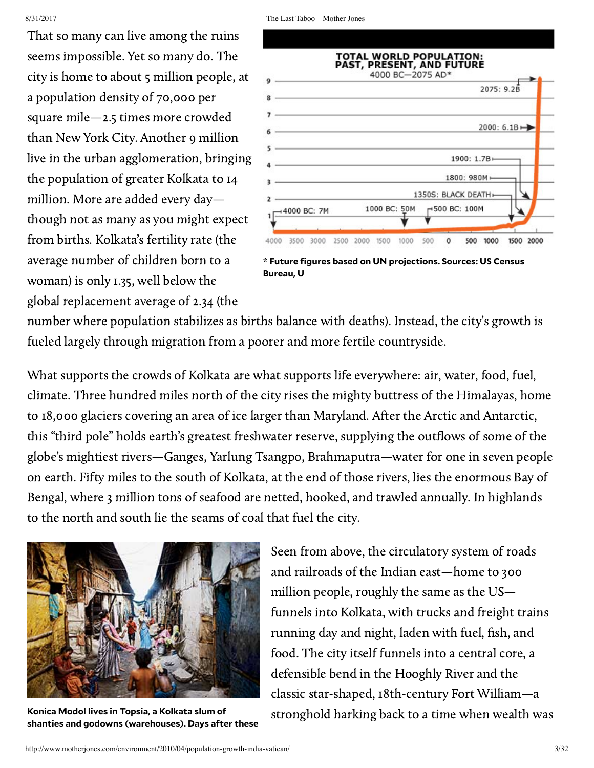That so many can live among the ruins seems impossible. Yet so many do. The city is home to about 5 million people, at a population density of 70,000 per square mile—2.5 times more crowded than New York City. Another 9 million live in the urban agglomeration, bringing the population of greater Kolkata to 14 million. More are added every day though not as many as you might expect from births. Kolkata's fertility rate (the average number of children born to a woman) is only 1.35, well below the global replacement average of 2.34 (the

|             |                                 | 2075: 9.2B               |
|-------------|---------------------------------|--------------------------|
|             |                                 | 2000: 6.1B $\rightarrow$ |
|             | $1900: 1.7B -$                  |                          |
|             | 1800: 980M+                     |                          |
|             | 1350S: BLACK DEATH+             |                          |
| 4000 BC: 7M | $-500$ BC: 100M<br>1000 BC: 50M |                          |

**\* Future figures based on UN projections. Sources: US Census Bureau, U**

number where population stabilizes as births balance with deaths). Instead, the city's growth is fueled largely through migration from a poorer and more fertile countryside.

What supports the crowds of Kolkata are what supports life everywhere: air, water, food, fuel, climate. Three hundred miles north of the city rises the mighty buttress of the Himalayas, home to 18,000 [glaciers](http://www.wwf.or.th/what_we_do/footprint/climate_carbon_energy/climate_deal/publications/asia_pacific.cfm?19092/An-Overview-of-Glaciers-Glacier-Retreat-and-Subsequent-Impacts-in-Nepal-India-and-China) covering an area of ice larger than Maryland. After the Arctic and Antarctic, this "third pole" holds earth's greatest freshwater reserve, supplying the outflows of some of the globe's mightiest rivers—Ganges, Yarlung Tsangpo, Brahmaputra—water for one in seven people on earth. Fifty miles to the south of Kolkata, at the end of those rivers, lies the enormous Bay of Bengal, where 3 million tons of seafood are netted, hooked, and trawled annually. In highlands to the north and south lie the seams of coal that fuel the city.



**Konica Modol lives in Topsia, a Kolkata slum of shanties and godowns (warehouses). Days after these**

Seen from above, the circulatory system of roads and railroads of the Indian east—home to 300 million people, roughly the same as the US funnels into Kolkata, with trucks and freight trains running day and night, laden with fuel, fish, and food. The city itself funnels into a central core, a defensible bend in the Hooghly River and the classic star-shaped, 18th-century Fort [William—](http://en.wikipedia.org/wiki/Fort_William_(India))a stronghold harking back to a time when wealth was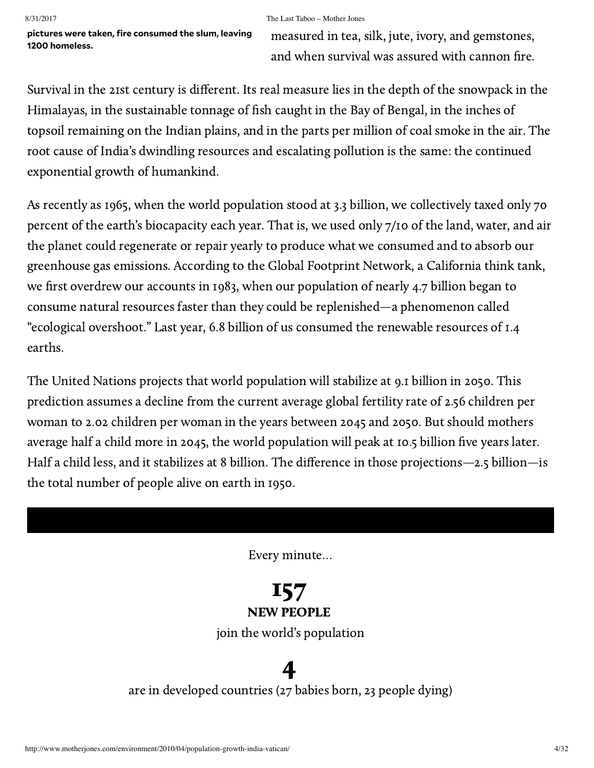**pictures were taken, fire consumed the slum, leaving 1200 homeless.**

measured in tea, silk, jute, ivory, and gemstones, and when survival was assured with cannon fire.

Survival in the 21st century is different. Its real measure lies in the depth of the snowpack in the Himalayas, in the sustainable tonnage of fish caught in the Bay of Bengal, in the inches of topsoil remaining on the Indian plains, and in the parts per million of coal smoke in the air. The root cause of India's dwindling resources and escalating pollution is the same: the continued exponential growth of humankind.

As recently as 1965, when the world population stood at 3.3 billion, we collectively taxed only 70 percent of the earth's biocapacity each year. That is, we used only 7/10 of the land, water, and air the planet could regenerate or repair yearly to produce what we consumed and to absorb our greenhouse gas emissions. According to the Global Footprint Network, a California think tank, we first overdrew our accounts in 1983, when our population of nearly 4.7 billion began to consume natural resources faster than they could be replenished—a phenomenon called "ecological overshoot." Last year, 6.8 billion of us consumed the renewable resources of 1.4 earths.

The United Nations [projects](http://esa.un.org/unpp/) that world population will stabilize at 9.1 billion in 2050. This prediction assumes a decline from the current average [global fertility](http://data.un.org/Data.aspx?d=PopDiv&f=variableID%3A54) rate of 2.56 children per woman to 2.02 children per woman in the years between 2045 and 2050. But should mothers average half a child more in 2045, the world population will peak at 10.5 billion five years later. Half a child less, and it stabilizes at 8 billion. The difference in those projections—2.5 billion—is the total number of people alive on earth in 1950.

Every minute…

## 157 NEW PEOPLE

join the world's population

## 4 are in developed countries (27 babies born, 23 people dying)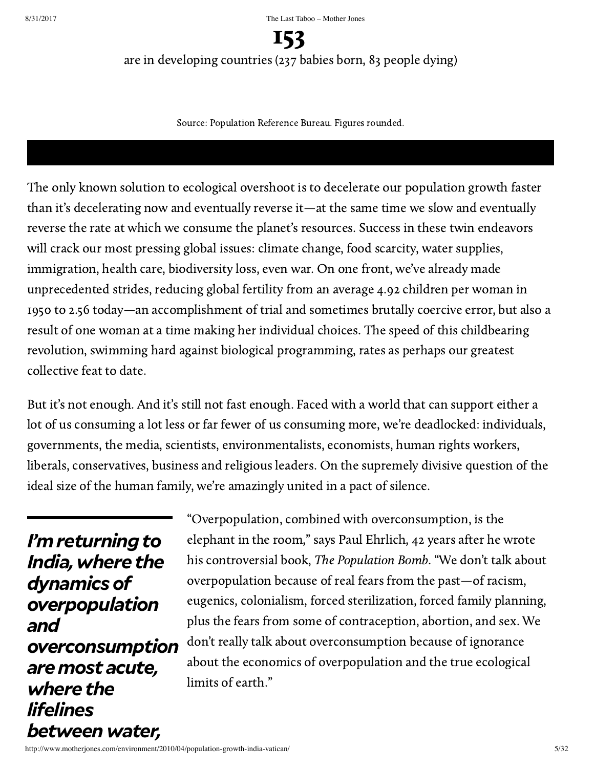153 are in developing countries (237 babies born, 83 people dying)

Source: Population Reference Bureau. Figures rounded.

The only known solution to ecological overshoot is to decelerate our population growth faster than it's decelerating now and eventually reverse it—at the same time we slow and eventually reverse the rate at which we consume the planet's resources. Success in these twin endeavors will crack our most pressing global issues: climate change, food scarcity, water supplies, immigration, health care, biodiversity loss, even war. On one front, we've already made unprecedented strides, reducing global fertility from an average 4.92 children per woman in 1950 to 2.56 today—an accomplishment of trial and sometimes brutally coercive error, but also a result of one woman at a time making her individual choices. The speed of this childbearing revolution, swimming hard against biological programming, rates as perhaps our greatest collective feat to date.

But it's not enough. And it's still not fast enough. Faced with a world that can support either a lot of us consuming a lot less or far fewer of us consuming more, we're deadlocked: individuals, governments, the media, scientists, environmentalists, economists, human rights workers, liberals, conservatives, business and religious leaders. On the supremely divisive question of the ideal size of the human family, we're amazingly united in a pact of silence.

*<i>I'm* returning to *India,where the dynamicsof overpopulation and overconsumption aremost acute, where the lifelines betweenwater,*

"Overpopulation, combined with overconsumption, is the elephant in the room," says Paul Ehrlich, 42 years after he wrote his controversial book, The [Population Bomb.](http://www.amazon.com/Population-Bomb-Paul-R-Ehrlich/dp/1568495870) "We don't talk about overpopulation because of real fears from the past—of racism, eugenics, colonialism, forced sterilization, forced family planning, plus the fears from some of contraception, abortion, and sex. We don't really talk about overconsumption because of ignorance about the economics of overpopulation and the true ecological limits of earth."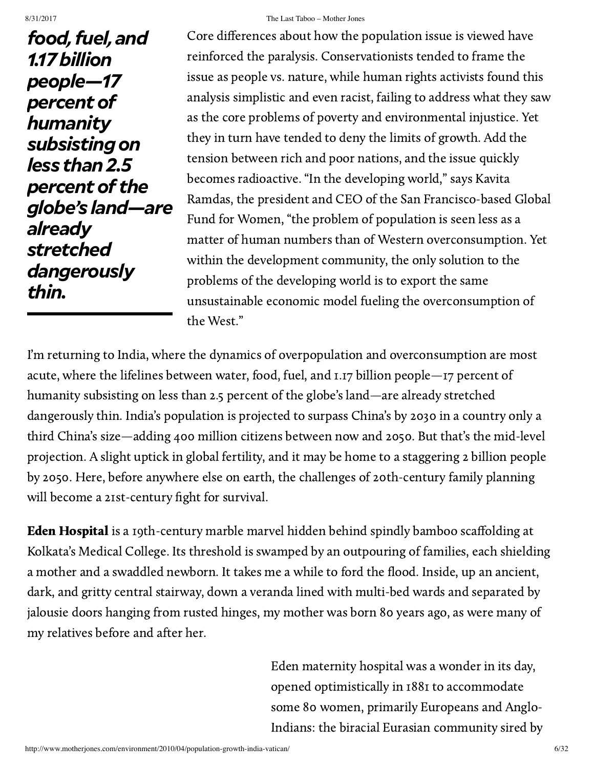*betweenwater,*

*food, fuel, and 1.17billion people—17 percentof humanity subsistingon less than2.5 percentof the globe's land—are already stretched dangerously thin.*

#### 8/31/2017 The Last Taboo – Mother Jones

Core differences about how the population issue is viewed have reinforced the paralysis. Conservationists tended to frame the issue as people vs. nature, while human rights activists found this analysis simplistic and even racist, failing to address what they saw as the core problems of poverty and environmental injustice. Yet they in turn have tended to deny the limits of growth. Add the tension between rich and poor nations, and the issue quickly becomes radioactive. "In the developing world," says Kavita Ramdas, the president and CEO of the San [Francisco-based](http://www.globalfundforwomen.org/) Global Fund for Women, "the problem of population is seen less as a matter of human numbers than of Western overconsumption. Yet within the development community, the only solution to the problems of the developing world is to export the same unsustainable economic model fueling the overconsumption of the West."

I'm returning to India, where the dynamics of overpopulation and overconsumption are most acute, where the lifelines between water, food, fuel, and 1.17 billion people—17 percent of humanity subsisting on less than 2.5 percent of the globe's land—are already stretched dangerously thin. India's population is projected to surpass China's by 2030 in a country only a third China's size—adding 400 million citizens between now and 2050. But that's the mid-level projection. A slight uptick in global fertility, and it may be home to a staggering 2 billion people by 2050. Here, before anywhere else on earth, the challenges of 20th-century family planning will become a 21st-century fight for survival.

Eden Hospital is a 19th-century marble marvel hidden behind spindly bamboo scaffolding at Kolkata's Medical College. Its threshold is swamped by an outpouring of families, each shielding a mother and a swaddled newborn. It takes me a while to ford the flood. Inside, up an ancient, dark, and gritty central stairway, down a veranda lined with multi-bed wards and separated by jalousie doors hanging from rusted hinges, my mother was born 80 years ago, as were many of my relatives before and after her.

> Eden maternity hospital was a wonder in its day, opened optimistically in 1881 to accommodate some 80 women, primarily Europeans and Anglo-Indians: the biracial Eurasian [community](http://books.google.com/books?id=d22WUEmG49IC&printsec=frontcover&dq=poor+relations,+eurasian&source=bl&ots=jVBEeFpeRs&sig=suuo0SRsrN9LeNUnrRmNRlLIkyg&hl=en&ei=8MPIS8aJMJT6sgOY6YCYCw&sa=X&oi=book_result&ct=result&resnum=2&ved=0CA4Q6AEwAQ#v=onepage&q&f=false) sired by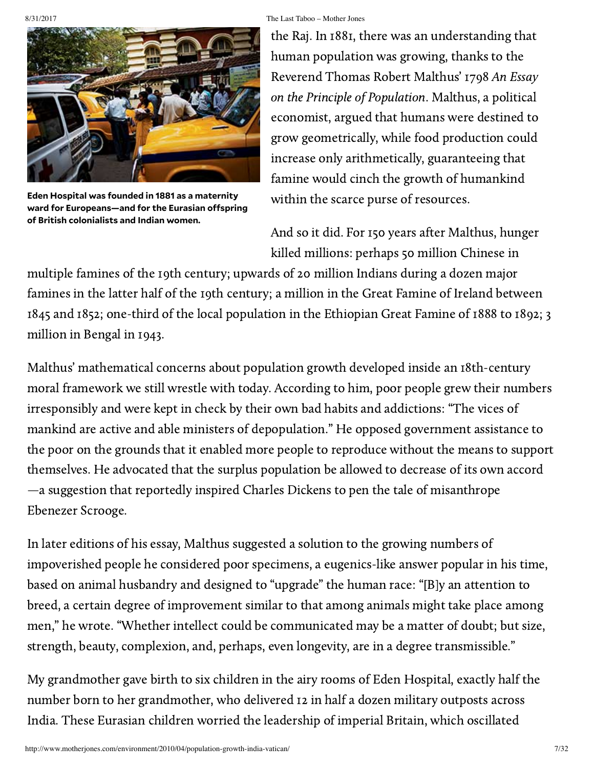

**Eden Hospital was founded in 1881 as a maternity ward for Europeans—and for the Eurasian ospring of British colonialists and Indian women.**

the Raj. In 1881, there was an understanding that human population was growing, thanks to the Reverend Thomas Robert Malthus' 1798 An Essay on the Principle of [Population.](http://www.econlib.org/library/Malthus/malPlong.html) Malthus, a political economist, argued that humans were destined to grow geometrically, while food production could increase only arithmetically, guaranteeing that famine would cinch the growth of humankind within the scarce purse of resources.

And so it did. For 150 years after Malthus, hunger killed [millions](http://books.google.com/books?id=3IrKEzgkQkMC&dq=late+victorian+holocaust&printsec=frontcover&source=bn&hl=en&ei=O8TIS6bnMYuotgOX1LX1BA&sa=X&oi=book_result&ct=result&resnum=4&ved=0CBwQ6AEwAw#v=onepage&q=late%20victorian%20holocaust&f=false): perhaps 50 million Chinese in

multiple famines of the 19th century; upwards of 20 million Indians during a dozen major famines in the latter half of the 19th century; a million in the Great Famine of Ireland between 1845 and 1852; one-third of the local population in the Ethiopian Great Famine of 1888 to 1892; 3 million in Bengal in 1943.

Malthus' mathematical concerns about population growth developed inside an 18th-century moral framework we still wrestle with today. According to him, poor people grew their numbers irresponsibly and were kept in check by their own bad habits and addictions: "The vices of mankind are active and able ministers of depopulation." He opposed government assistance to the poor on the grounds that it enabled more people to reproduce without the means to support themselves. He advocated that the surplus population be allowed to decrease of its own accord —a suggestion that [reportedly](http://www.npg.org/projects/malthus/gannett_story.htm) inspired Charles Dickens to pen the tale of misanthrope Ebenezer Scrooge.

In later editions of his essay, Malthus suggested a solution to the growing numbers of impoverished people he considered poor specimens, a eugenics-like answer popular in his time, based on animal husbandry and designed to "upgrade" the human race: "[B]y an attention to breed, a certain degree of [improvement](http://www.econlib.org/library/Malthus/malPlong12.html#Bk.III,Ch.I) similar to that among animals might take place among men," he wrote. "Whether intellect could be communicated may be a matter of doubt; but size, strength, beauty, complexion, and, perhaps, even longevity, are in a degree transmissible."

My grandmother gave birth to six children in the airy rooms of Eden Hospital, exactly half the number born to her grandmother, who delivered 12 in half a dozen military outposts across India. These Eurasian children worried the leadership of imperial Britain, which oscillated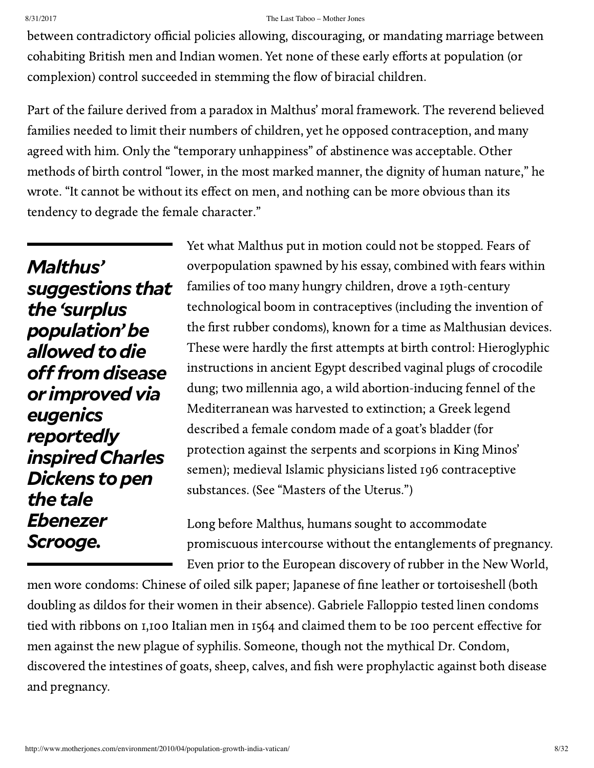between contradictory official policies allowing, discouraging, or mandating marriage between cohabiting British men and Indian women. Yet none of these early efforts at population (or complexion) control succeeded in stemming the flow of biracial children.

Part of the failure derived from a paradox in Malthus' moral framework. The reverend believed families needed to limit their numbers of children, yet he opposed contraception, and many agreed with him. Only the "temporary unhappiness" of abstinence was acceptable. Other methods of birth control "lower, in the most marked manner, the dignity of human nature," he wrote. "It cannot be without its effect on men, and nothing can be more obvious than its tendency to degrade the female character."

*Malthus' suggestions that the 'surplus population'be* allowed to die *ofromdisease or improvedvia eugenics reportedly inspiredCharles Dickens* to pen *the tale Ebenezer Scrooge.*

Yet what Malthus put in motion could not be stopped. Fears of overpopulation spawned by his essay, combined with fears within families of too many hungry children, drove a 19th-century technological boom in contraceptives (including the invention of the first rubber condoms), known for a time as Malthusian devices. These were hardly the first attempts at birth control: Hieroglyphic instructions in ancient Egypt described vaginal plugs of crocodile dung; two millennia ago, a wild [abortion-inducing](http://www.salon.com/health/feature/1999/07/01/fennel) fennel of the Mediterranean was harvested to extinction; a Greek legend described a female condom made of a goat's bladder (for protection against the serpents and scorpions in King Minos' semen); medieval Islamic physicians listed 196 contraceptive substances. (See ["Masters](http://www.motherjones.com/get-free-access) of the Uterus.")

Long before Malthus, humans sought to accommodate promiscuous intercourse without the entanglements of pregnancy. Even prior to the European discovery of rubber in the New World,

men wore condoms: Chinese of oiled silk paper; Japanese of fine leather or tortoiseshell (both doubling as dildos for their women in their absence). Gabriele Falloppio tested linen condoms tied with ribbons on 1,100 Italian men in 1564 and [claimed](http://commons.wikimedia.org/wiki/File:De_Morbo_Gallico.jpg) them to be 100 percent effective for men against the new plague of syphilis. Someone, though not the mythical Dr. Condom, discovered the intestines of goats, sheep, calves, and fish were prophylactic against both disease and pregnancy.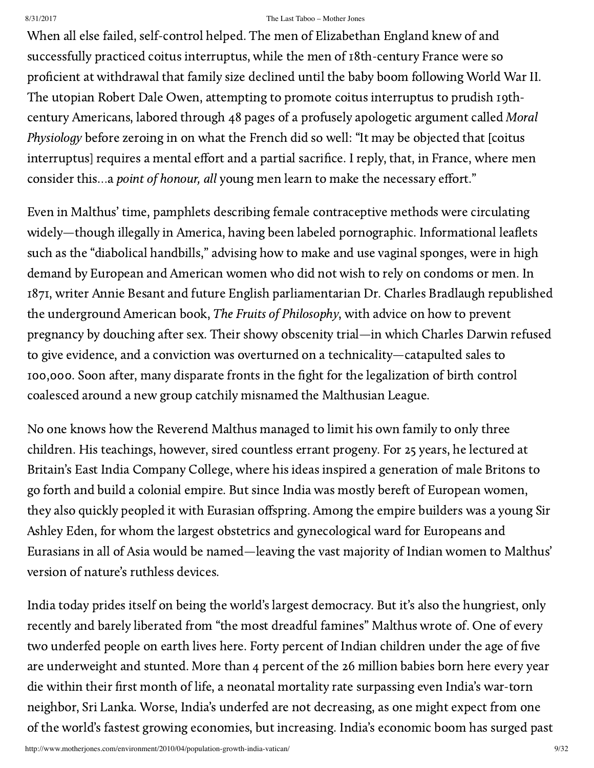When all else failed, self-control helped. The men of Elizabethan England knew of and successfully practiced coitus interruptus, while the men of 18th-century France were so proficient at withdrawal that family size declined until the baby boom following World War II. The utopian Robert Dale Owen, attempting to promote coitus interruptus to prudish 19thcentury Americans, labored through 48 pages of a profusely apologetic argument called Moral [Physiology](http://books.google.com/books?id=QX8YAAAAYAAJ&printsec=frontcover&dq=moral+physiology,+owens&source=bl&ots=2LU49wmUXe&sig=CsVZ-Y3dKnIJdis-xe5rnIHJD_I&hl=en&ei=BcbIS-nrCZKgsgOsj531BA&sa=X&oi=book_result&ct=result&resnum=1&ved=0CAYQ6AEwAA#v=onepage&q&f=false) before zeroing in on what the French did so well: "It may be objected that [coitus interruptus] requires a mental effort and a partial sacrifice. I reply, that, in France, where men consider this...a point of honour, all young men learn to make the necessary effort."

Even in Malthus' time, pamphlets describing female contraceptive methods were circulating widely—though [illegally](http://law.jrank.org/pages/5508/Comstock-Law-1873.html) in America, having been labeled pornographic. Informational leaflets such as the "diabolical handbills," advising [how to](http://books.google.com/books?id=60DIWglaAsoC&printsec=frontcover&dq=fruits+of+philosophy&source=bl&ots=qgUHPSAKON&sig=F7OD036nVhbGTZo3u0oejHBaWTg&hl=en&ei=PMbIS_P8D5T8tQOZ0-yXCw&sa=X&oi=book_result&ct=result&resnum=5&ved=0CB4Q6AEwBA#v=onepage&q=ribbon&f=false) make and use vaginal sponges, were in high demand by European and American women who did not wish to rely on condoms or men. In 1871, writer Annie Besant and future English parliamentarian Dr. Charles Bradlaugh republished the underground American book, The Fruits of Philosophy, with advice on how to prevent pregnancy by douching after sex. Their showy obscenity trial—in which Charles Darwin refused to give evidence, and a conviction was overturned on a technicality—catapulted sales to 100,000. Soon after, many disparate fronts in the fight for the legalization of birth control coalesced around a new group catchily misnamed the Malthusian League.

No one knows how the Reverend Malthus managed to limit his own family to only three children. His teachings, however, sired countless errant progeny. For 25 years, he lectured at Britain's East India Company College, where his ideas inspired a generation of male Britons to go forth and build a colonial empire. But since India was mostly bereft of European women, they also quickly peopled it with Eurasian offspring. Among the empire builders was a young Sir Ashley Eden, for whom the largest obstetrics and gynecological ward for Europeans and Eurasians in all of Asia would be named—leaving the vast majority of Indian women to Malthus' version of nature's ruthless devices.

India today prides itself on being the world's largest democracy. But it's also the hungriest, only recently and barely liberated from "the most dreadful famines" Malthus wrote of. One of every two underfed people on earth lives [here.](http://www.wfp.org/countries/india) Forty percent of Indian children under the age of five are underweight and stunted. More than 4 percent of the 26 million babies born here every year die within their first month of life, a neonatal mortality rate surpassing even India's war-torn neighbor, Sri Lanka. Worse, India's underfed are not decreasing, as one might expect from one of the world's fastest growing economies, but increasing. India's economic boom has surged past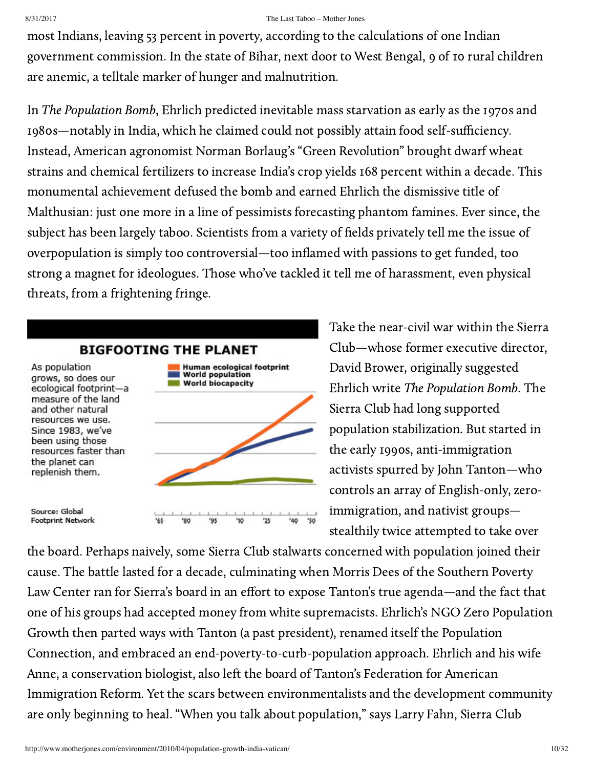most Indians, leaving 53 percent in poverty, according to the calculations of one Indian government commission. In the state of Bihar, next door to West Bengal, 9 of 10 rural children are anemic, a telltale marker of hunger and malnutrition.

In The Population Bomb, Ehrlich predicted inevitable mass starvation as early as the 1970s and 1980s—notably in India, which he claimed could not possibly attain food self-sufficiency. Instead, American agronomist Norman Borlaug's "Green [Revolution](http://www.energybulletin.net/node/25315)" brought dwarf wheat strains and chemical fertilizers to increase India's crop yields 168 percent within a decade. This monumental achievement defused the bomb and earned Ehrlich the dismissive title of Malthusian: just one more in a line of pessimists forecasting phantom famines. Ever since, the subject has been largely taboo. Scientists from a variety of fields privately tell me the issue of overpopulation is simply too controversial—too inflamed with passions to get funded, too strong a magnet for ideologues. Those who've tackled it tell me of harassment, even physical threats, from a frightening fringe.



Take the near-civil war within the Sierra Club—whose former executive director, David Brower, originally suggested Ehrlich write The Population Bomb. The Sierra Club had long supported population stabilization. But started in the early 1990s, anti-immigration activists spurred by John [Tanton—](http://www.inthesetimes.com/article/2608/)who controls an array of English-only, zeroimmigration, and nativist groups stealthily twice attempted to take over

the board. Perhaps naively, some Sierra Club stalwarts concerned with population joined their cause. The [battle](http://www.splcenter.org/blog/2009/08/10/leader-of-sierra-club-takeover-effort-resurfaces-with-new-anti-immigrant-warning/) lasted for a decade, culminating when Morris Dees of the Southern Poverty Law Center ran for Sierra's board in an effort to expose Tanton's true [agenda](http://www.splcenter.org/publications/)—and the fact that one of his groups had accepted money from white supremacists. Ehrlich's NGO Zero Population Growth then parted ways with Tanton (a past president), renamed itself the Population Connection, and embraced an end-poverty-to-curb-population approach. Ehrlich and his wife Anne, a conservation biologist, also left the board of Tanton's Federation for American Immigration Reform. Yet the scars between environmentalists and the development community are only beginning to heal. "When you talk about population," says Larry Fahn, Sierra Club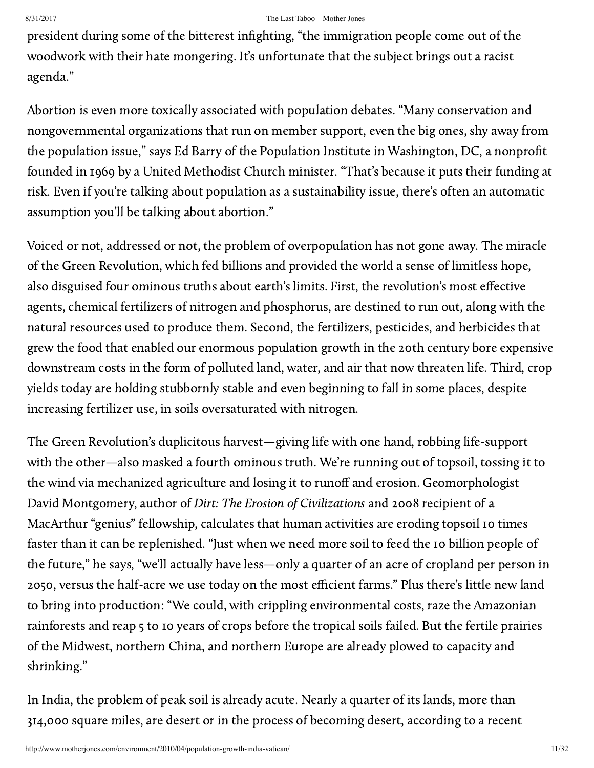president during some of the bitterest infighting, "the immigration people come out of the woodwork with their hate mongering. It's unfortunate that the subject brings out a racist agenda."

Abortion is even more toxically associated with population debates. "Many conservation and nongovernmental organizations that run on member support, even the big ones, shy away from the population issue," says Ed Barry of the Population Institute in Washington, DC, a nonprofit founded in 1969 by a United Methodist Church minister. "That's because it puts their funding at risk. Even if you're talking about population as a sustainability issue, there's often an automatic assumption you'll be talking about abortion."

Voiced or not, addressed or not, the problem of overpopulation has not gone away. The miracle of the Green Revolution, which fed billions and provided the world a sense of limitless hope, also disguised four ominous truths about earth's limits. First, the revolution's most effective agents, chemical fertilizers of nitrogen and phosphorus, are destined to [run](http://phosphorusfutures.net/peak-phosphorus) out, along with the natural resources used to produce them. Second, the fertilizers, pesticides, and herbicides that grew the food that enabled our enormous population growth in the 20th century bore expensive downstream costs in the form of polluted land, water, and air that now threaten life. Third, crop yields today are holding stubbornly stable and even beginning to fall in some places, despite increasing fertilizer use, in soils oversaturated with nitrogen.

The Green Revolution's duplicitous harvest—giving life with one hand, robbing life-support with the other—also masked a fourth ominous truth. We're running out of topsoil, tossing it to the wind via mechanized agriculture and losing it to runoff and erosion. Geomorphologist David Montgomery, author of Dirt: The Erosion of Civilizations and 2008 recipient of a MacArthur "genius" fellowship, calculates that human activities are [eroding](http://www.newint.org/features/2008/12/01/soil-depletion/) topsoil 10 times faster than it can be replenished. "Just when we need more soil to feed the 10 billion people of the future," he says, "we'll actually have less—only a quarter of an acre of cropland per person in 2050, versus the half-acre we use today on the most efficient farms." Plus there's little new land to bring into production: "We could, with crippling environmental costs, raze the Amazonian rainforests and reap 5 to 10 years of crops before the tropical soils failed. But the fertile prairies of the Midwest, northern China, and northern Europe are already plowed to capacity and shrinking."

In India, the problem of peak soil is already acute. Nearly a quarter of its lands, more than 314,000 square miles, are desert or in the process of becoming desert, according to a recent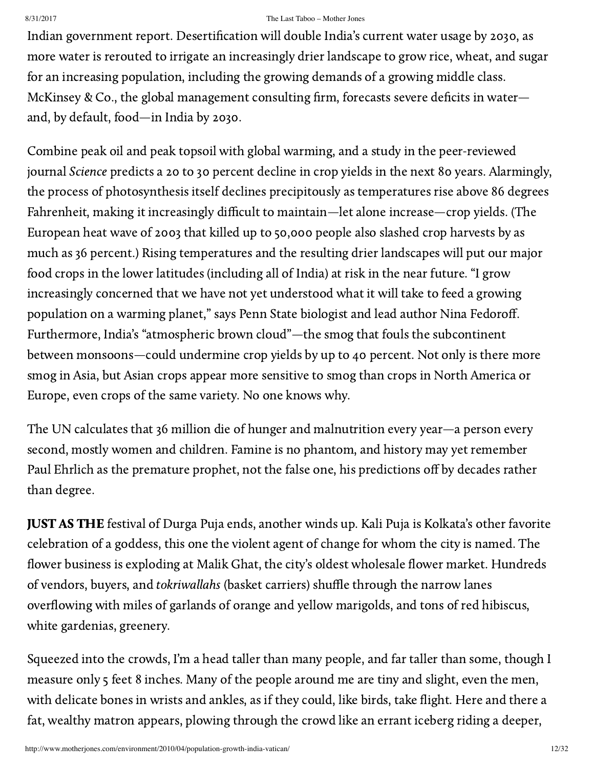Indian government report. Desertification will double India's current water usage by [2030](http://www.ias.ac.in/currsci/nov252009/1478.pdf), as more water is rerouted to irrigate an increasingly drier landscape to grow rice, wheat, and sugar for an increasing population, including the growing demands of a growing middle class. McKinsey & Co., the global management consulting firm, forecasts severe deficits in water and, by default, food—in India by 2030.

Combine peak oil and peak topsoil with global warming, and a [study](http://www.sciencemag.org/cgi/content/full/327/5967/833) in the peer-reviewed journal Science predicts a 20 to 30 percent decline in crop yields in the next 80 years. Alarmingly, the process of photosynthesis itself declines precipitously as temperatures rise above 86 degrees Fahrenheit, making it increasingly difficult to maintain—let alone increase—crop yields. (The European heat wave of 2003 that killed up to 50,000 people also slashed crop harvests by as much as 36 percent.) Rising temperatures and the resulting drier landscapes will put our major food crops in the lower latitudes (including all of India) at risk in the near future. "I grow increasingly concerned that we have not yet understood what it will take to feed a growing population on a warming planet," says Penn State biologist and lead author Nina Fedoroff. Furthermore, India's ["atmospheric](http://igcc.ucsd.edu/research/environment/PNAS.php) brown cloud"—the smog that fouls the subcontinent between monsoons—could undermine crop yields by up to 40 percent. Not only is there more smog in Asia, but Asian crops appear more sensitive to smog than crops in North America or Europe, even crops of the same variety. No one knows why.

The UN calculates that 36 million die of hunger and malnutrition every year—a person every second, mostly women and children. Famine is no phantom, and history may yet remember Paul Ehrlich as the premature prophet, not the false one, his predictions off by decades rather than degree.

JUST AS THE festival of Durga Puja ends, another winds up. Kali Puja is Kolkata's other favorite celebration of a goddess, this one the violent agent of change for whom the city is named. The flower business is exploding at Malik Ghat, the city's oldest wholesale flower market. Hundreds of vendors, buyers, and tokriwallahs (basket carriers) shuffle through the narrow lanes overflowing with miles of garlands of orange and yellow marigolds, and tons of red hibiscus, white gardenias, greenery.

Squeezed into the crowds, I'm a head taller than many people, and far taller than some, though I measure only 5 feet 8 inches. Many of the people around me are tiny and slight, even the men, with delicate bones in wrists and ankles, as if they could, like birds, take flight. Here and there a fat, wealthy matron appears, plowing through the crowd like an errant iceberg riding a deeper,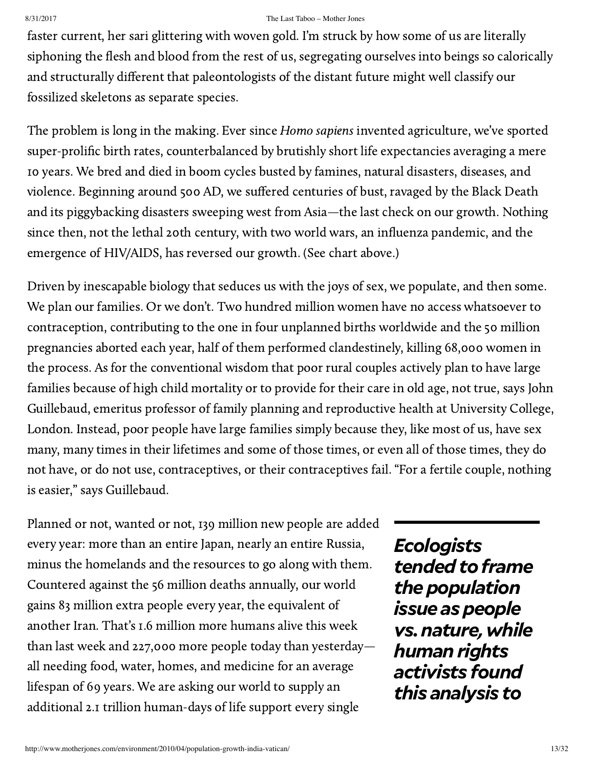faster current, her sari glittering with woven gold. I'm struck by how some of us are literally siphoning the flesh and blood from the rest of us, segregating ourselves into beings so calorically and structurally different that paleontologists of the distant future might well classify our fossilized skeletons as separate species.

The problem is long in the making. Ever since Homo sapiens invented agriculture, we've sported super-prolific birth rates, counterbalanced by brutishly short life expectancies averaging a mere 10 years. We bred and died in boom [cycles](http://www.uwmc.uwc.edu/geography/Demotrans/demtran.htm) busted by famines, natural disasters, diseases, and violence. Beginning around 500 AD, we suffered centuries of bust, ravaged by the Black Death and its piggybacking disasters sweeping west from Asia—the last check on our growth. Nothing since then, not the lethal 20th century, with two world wars, an influenza pandemic, and the emergence of HIV/AIDS, has reversed our growth. (See chart above.)

Driven by inescapable biology that seduces us with the joys of sex, we populate, and then some. We plan our families. Or we don't. Two hundred million women have no [access](http://people.oregonstate.edu/~muirp/unmetdem.htm) whatsoever to contraception, contributing to the one in four unplanned births worldwide and the 50 million pregnancies aborted each year, half of them performed clandestinely, killing 68,000 women in the process. As for the conventional wisdom that poor rural couples actively plan to have large families because of high child mortality or to provide for their care in old age, not true, says John Guillebaud, emeritus professor of family planning and reproductive health at University College, London. Instead, poor people have large families simply because they, like most of us, [have](http://www.optimumpopulation.org/releases/opt.release26Mar09.htm) sex many, many times in their lifetimes and some of those times, or even all of those times, they do not have, or do not use, contraceptives, or their contraceptives fail. "For a fertile couple, nothing is easier," says Guillebaud.

Planned or not, wanted or not, 139 million new people are [added](http://www.census.gov/ipc/www/idb/worldpop.php) every year: more than an entire Japan, nearly an entire Russia, minus the homelands and the resources to go along with them. Countered against the 56 million deaths annually, our world gains 83 million extra people every year, the equivalent of another Iran. That's 1.6 million more humans alive this week than last week and 227,000 more people today than yesterday all needing food, water, homes, and medicine for an average lifespan of 69 years. We are asking our world to supply an additional 2.1 trillion human-days of life support every single

*Ecologists* tended to frame *thepopulation issue* as people *vs.nature,while* **human** rights *activists found this analysis to*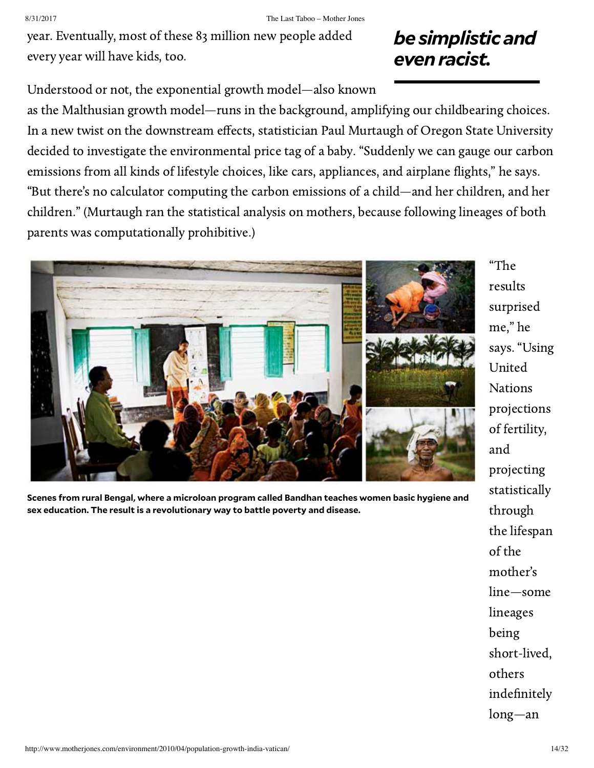year. Eventually, most of these 83 million new people added every year will have kids, too.

## *be simplistic and evenracist.*

Understood or not, the exponential growth model—also known

as the Malthusian growth model—runs in the background, amplifying our childbearing choices. In a new twist on the downstream effects, statistician [Paul Murtaugh](http://www.stat.oregonstate.edu/people/murtaugh) of Oregon State University decided to [investigate](http://oregonstate.edu/ua/ncs/archives/2009/jul/family-planning-major-environmental-emphasis) the [environmental price](http://motherjones.com/environment/2008/04/whats-your-babys-carbon-footprint) tag of a baby. "Suddenly we can gauge our carbon emissions from all kinds of lifestyle choices, like cars, appliances, and airplane flights," he says. "But there's no calculator computing the carbon emissions of a child—and her children, and her children." (Murtaugh ran the statistical analysis on mothers, because following lineages of both parents was computationally prohibitive.)



**Scenes from rural Bengal, where a microloan program called Bandhan teaches women basic hygiene and sex education. The result is a revolutionary way to battle poverty and disease.**

"The [results](http://oregonstate.edu/ua/ncs/archives/2009/jul/family-planning-major-environmental-emphasis) surprised me," he says. "Using United Nations projections of fertility, and projecting statistically through the lifespan of the mother's line—some lineages being short-lived, others indefinitely long—an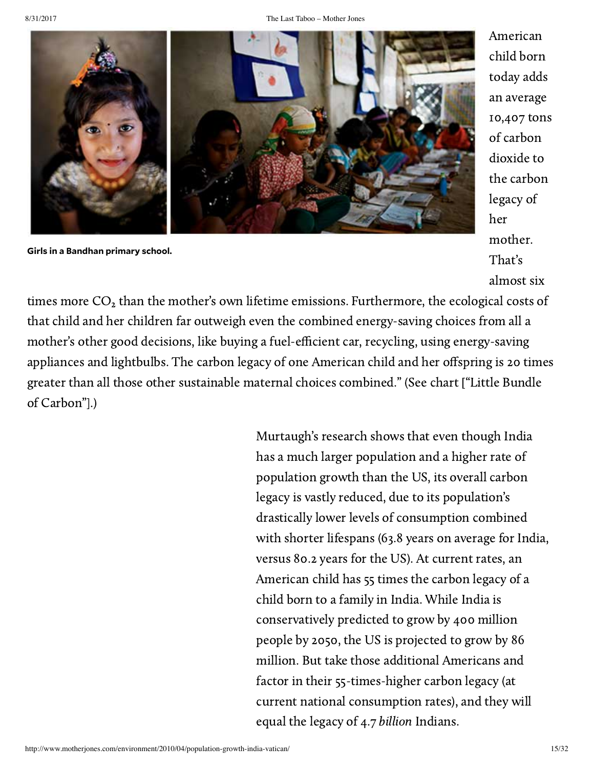

**Girls in a Bandhan primary school.**

American child born today adds an average 10,407 tons of carbon dioxide to the carbon legacy of her mother. That's almost six

times more  $CO<sub>2</sub>$  than the mother's own lifetime emissions. Furthermore, the ecological costs of that child and her children far outweigh even the combined energy-saving choices from all a mother's other good decisions, like buying a fuel-efficient car, recycling, using energy-saving appliances and lightbulbs. The carbon legacy of one American child and her offspring is 20 times greater than all those other sustainable maternal choices combined." (See chart ["Little Bundle of Carbon"].)

> Murtaugh's research shows that even though India has a much larger population and a higher rate of population growth than the US, its overall carbon legacy is vastly reduced, due to its population's drastically lower levels of consumption combined with shorter lifespans (63.8 years on average for India, versus 80.2 years for the US). At current rates, an American child has 55 times the carbon legacy of a child born to a family in India. While India is conservatively predicted to grow by 400 million people by 2050, the US is projected to grow by 86 million. But take those additional Americans and factor in their 55-times-higher carbon legacy (at current national consumption rates), and they will equal the legacy of 4.7 billion Indians.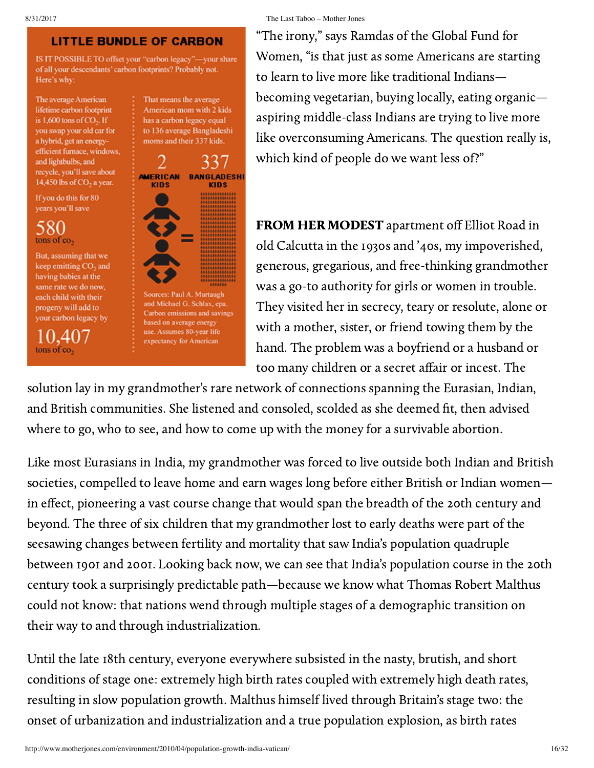### LITTLE BUNDLE OF CARBON

IS IT POSSIBLE TO offset your "carbon legacy"-your share of all your descendants' carbon footprints? Probably not. Here's why:

The average American lifetime carbon footprint is  $1,600$  tons of CO<sub>2</sub>. If you swap your old car for a hybrid, get an energyefficient furnace, windows, and lightbulbs, and recycle, you'll save about 14,450 lbs of CO<sub>2</sub> a year.

If you do this for 80 years you'll save

580 tons of co,

But, assuming that we keep emitting CO<sub>2</sub> and having babies at the same rate we do now, each child with their progeny will add to your carbon legacy by

10,407 tons of co,



8/31/2017 The Last Taboo – Mother Jones

"The irony," says Ramdas of the Global Fund for Women, "is that just as some Americans are starting to learn to live more like traditional Indians becoming vegetarian, buying locally, eating organic aspiring middle-class Indians are trying to live more like overconsuming Americans. The question really is, which kind of people do we want less of?"

FROM HER MODEST apartment off Elliot Road in old Calcutta in the 1930s and '40s, my impoverished, generous, gregarious, and free-thinking grandmother was a go-to authority for girls or women in trouble. They visited her in secrecy, teary or resolute, alone or with a mother, sister, or friend towing them by the hand. The problem was a boyfriend or a husband or too many children or a secret affair or incest. The

solution lay in my grandmother's rare network of connections spanning the Eurasian, Indian, and British communities. She listened and consoled, scolded as she deemed fit, then advised where to go, who to see, and how to come up with the money for a survivable abortion.

Like most Eurasians in India, my grandmother was forced to live outside both Indian and British societies, compelled to leave home and earn wages long before either British or Indian women in effect, pioneering a vast course change that would span the breadth of the 20th century and beyond. The three of six children that my grandmother lost to early deaths were part of the seesawing changes between fertility and mortality that saw India's population quadruple between 1901 and 2001. Looking back now, we can see that India's population course in the 20th century took a surprisingly predictable path—because we know what Thomas Robert Malthus could not know: that nations wend through multiple stages of a demographic transition on their way to and through industrialization.

Until the late 18th century, everyone everywhere subsisted in the nasty, brutish, and short conditions of [stage](http://www.uwmc.uwc.edu/geography/Demotrans/demtran.htm) one: extremely high birth rates coupled with extremely high death rates, resulting in slow population growth. Malthus himself lived through Britain's stage two: the onset of urbanization and industrialization and a true population explosion, as birth rates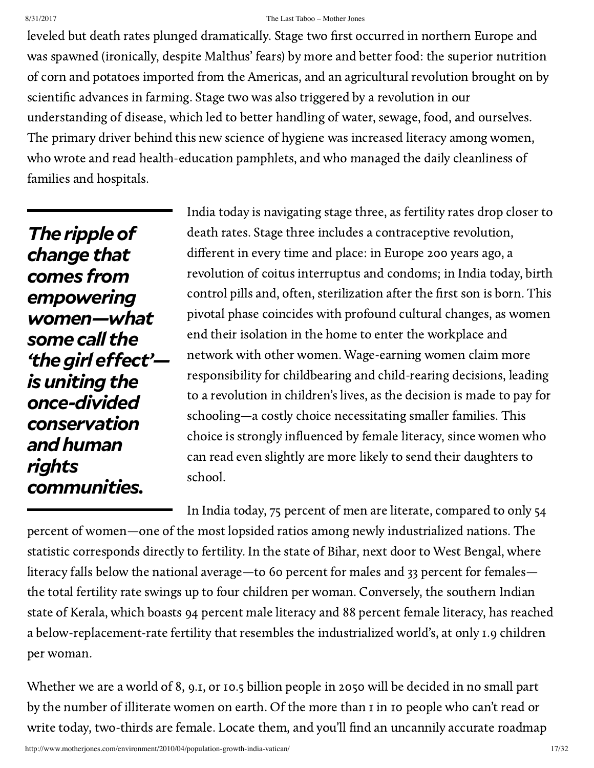leveled but death rates plunged dramatically. Stage two first occurred in northern Europe and was spawned (ironically, despite Malthus' fears) by more and better food: the superior nutrition of corn and potatoes imported from the Americas, and an agricultural revolution brought on by scientific advances in farming. Stage two was also triggered by a revolution in our understanding of disease, which led to better handling of water, sewage, food, and ourselves. The primary driver behind this new science of hygiene was increased literacy among women, who wrote and read health-education pamphlets, and who managed the daily cleanliness of families and hospitals.

*The rippleof change that comes from empowering women—what some call the 'the girl effect'is uniting the once-divided conservation andhuman rights communities.*

India today is navigating stage three, as fertility rates drop closer to death rates. Stage three includes a contraceptive revolution, different in every time and place: in Europe 200 years ago, a revolution of coitus interruptus and condoms; in India today, birth control pills and, often, sterilization after the first son is born. This pivotal phase coincides with profound cultural changes, as women end their isolation in the home to enter the workplace and network with other women. Wage-earning women claim more responsibility for childbearing and child-rearing decisions, leading to a revolution in children's lives, as the decision is made to pay for schooling—a costly choice necessitating smaller families. This choice is strongly influenced by female literacy, since women who can read even slightly are more likely to send their daughters to school.

In India today, 75 percent of men are literate, compared to only 54 percent of women—one of the most lopsided ratios among newly industrialized nations. The statistic corresponds directly to fertility. In the state of Bihar, next door to West Bengal, where literacy falls below the national average—to 60 percent for males and 33 percent for females the total fertility rate swings up to four children per woman. Conversely, the southern Indian state of Kerala, which boasts 94 percent male literacy and 88 percent female literacy, has reached a below-replacement-rate fertility that resembles the industrialized world's, at only 1.9 children per woman.

Whether we are a world of 8, 9.1, or 10.5 billion people in 2050 will be decided in no small part by the number of illiterate women on earth. Of the more than 1 in 10 people who can't read or write today, two-thirds are female. Locate them, and you'll find an uncannily accurate roadmap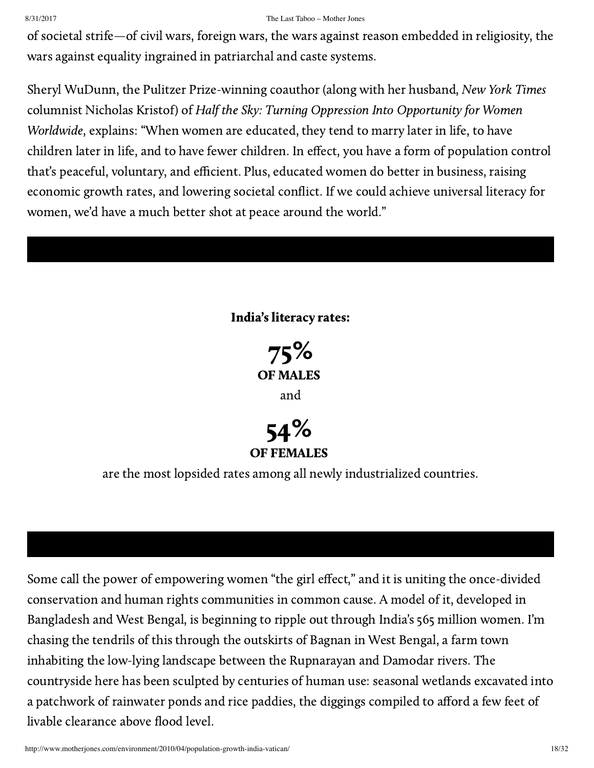of societal strife—of civil wars, foreign wars, the wars against reason embedded in religiosity, the wars against equality ingrained in patriarchal and caste systems.

Sheryl WuDunn, the Pulitzer Prize-winning coauthor (along with her husband, New York Times columnist Nicholas Kristof) of Half the Sky: Turning Oppression Into Opportunity for Women Worldwide, explains: "When women are educated, they tend to marry later in life, to have children later in life, and to have fewer children. In effect, you have a form of population control that's peaceful, voluntary, and efficient. Plus, educated women do better in business, raising economic growth rates, and lowering societal conflict. If we could achieve universal literacy for women, we'd have a much better shot at peace around the world."

## India's literacy rates:





are the most lopsided rates among all newly industrialized countries.

Some call the power of empowering women "the [girl effect](http://www.globalgiving.org/girleffect.html)," and it is uniting the once-divided conservation and human rights communities in common cause. A model of it, developed in Bangladesh and West Bengal, is beginning to ripple out through India's 565 million women. I'm chasing the tendrils of this through the outskirts of Bagnan in West Bengal, a farm town inhabiting the low-lying landscape between the Rupnarayan and Damodar rivers. The countryside here has been sculpted by centuries of human use: seasonal wetlands excavated into a patchwork of rainwater ponds and rice paddies, the diggings compiled to afford a few feet of livable clearance above flood level.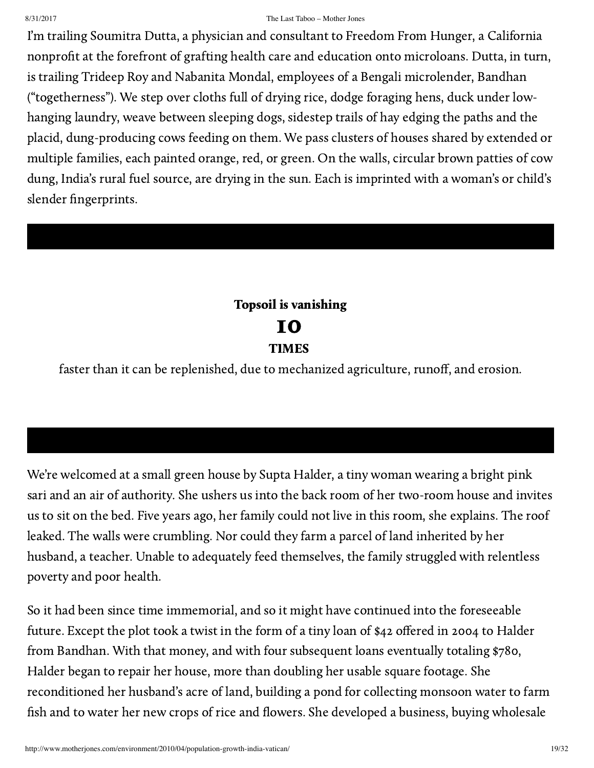I'm trailing Soumitra Dutta, a physician and consultant to [Freedom](http://www.freedomfromhunger.org/) From Hunger, a California nonprofit at the forefront of grafting health care and education onto microloans. Dutta, in turn, is trailing Trideep Roy and Nabanita Mondal, employees of a Bengali microlender, [Bandhan](http://www.bandhanmf.com/) ("togetherness"). We step over cloths full of drying rice, dodge foraging hens, duck under lowhanging laundry, weave between sleeping dogs, sidestep trails of hay edging the paths and the placid, dung-producing cows feeding on them. We pass clusters of houses shared by extended or multiple families, each painted orange, red, or green. On the walls, circular brown patties of cow dung, India's rural fuel source, are drying in the sun. Each is imprinted with a woman's or child's slender fingerprints.

## Topsoil is vanishing 10 TIMES

faster than it can be replenished, due to mechanized agriculture, runoff, and erosion.

## We're welcomed at a small green house by Supta Halder, a tiny woman wearing a bright pink sari and an air of authority. She ushers us into the back room of her two-room house and invites us to sit on the bed. Five years ago, her family could not live in this room, she explains. The roof leaked. The walls were crumbling. Nor could they farm a parcel of land inherited by her husband, a teacher. Unable to adequately feed themselves, the family struggled with relentless poverty and poor health.

So it had been since time immemorial, and so it might have continued into the foreseeable future. Except the plot took a twist in the form of a tiny loan of \$42 offered in 2004 to Halder from Bandhan. With that money, and with four subsequent loans eventually totaling \$780, Halder began to repair her house, more than doubling her usable square footage. She reconditioned her husband's acre of land, building a pond for collecting monsoon water to farm fish and to water her new crops of rice and flowers. She developed a business, buying wholesale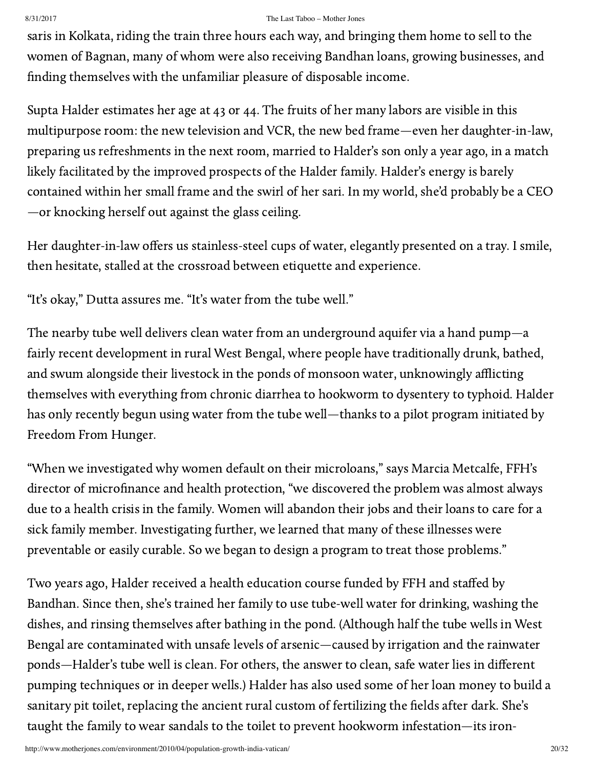saris in Kolkata, riding the train three hours each way, and bringing them home to sell to the women of Bagnan, many of whom were also receiving Bandhan loans, growing businesses, and finding themselves with the unfamiliar pleasure of disposable income.

Supta Halder estimates her age at 43 or 44. The fruits of her many labors are visible in this multipurpose room: the new television and VCR, the new bed frame—even her daughter-in-law, preparing us refreshments in the next room, married to Halder's son only a year ago, in a match likely facilitated by the improved prospects of the Halder family. Halder's energy is barely contained within her small frame and the swirl of her sari. In my world, she'd probably be a CEO —or knocking herself out against the glass ceiling.

Her daughter-in-law offers us stainless-steel cups of water, elegantly presented on a tray. I smile, then hesitate, stalled at the crossroad between etiquette and experience.

"It's okay," Dutta assures me. "It's water from the tube well."

The nearby tube well delivers clean water from an underground aquifer via a hand pump—a fairly recent development in rural West Bengal, where people have traditionally drunk, bathed, and swum alongside their livestock in the ponds of monsoon water, unknowingly afflicting themselves with everything from chronic diarrhea to hookworm to dysentery to typhoid. Halder has only recently begun using water from the tube well—thanks to a pilot program initiated by Freedom From Hunger.

"When we investigated why women default on their microloans," says Marcia Metcalfe, FFH's director of microfinance and health protection, "we discovered the problem was almost always due to a health crisis in the family. Women will abandon their jobs and their loans to care for a sick family member. Investigating further, we learned that many of these illnesses were preventable or easily curable. So we began to design a program to treat those problems."

Two years ago, Halder received a health education course funded by FFH and staffed by Bandhan. Since then, she's trained her family to use tube-well water for drinking, washing the dishes, and rinsing themselves after bathing in the pond. (Although half the tube wells in West Bengal are contaminated with unsafe levels of [arsenic—](http://www.soesju.org/arsenic/wb.htm)caused by irrigation and the rainwater ponds—Halder's tube well is clean. For others, the answer to clean, safe water lies in different pumping techniques or in deeper wells.) Halder has also used some of her loan money to build a sanitary pit toilet, replacing the ancient rural custom of fertilizing the fields after dark. She's taught the family to wear sandals to the toilet to prevent hookworm infestation—its iron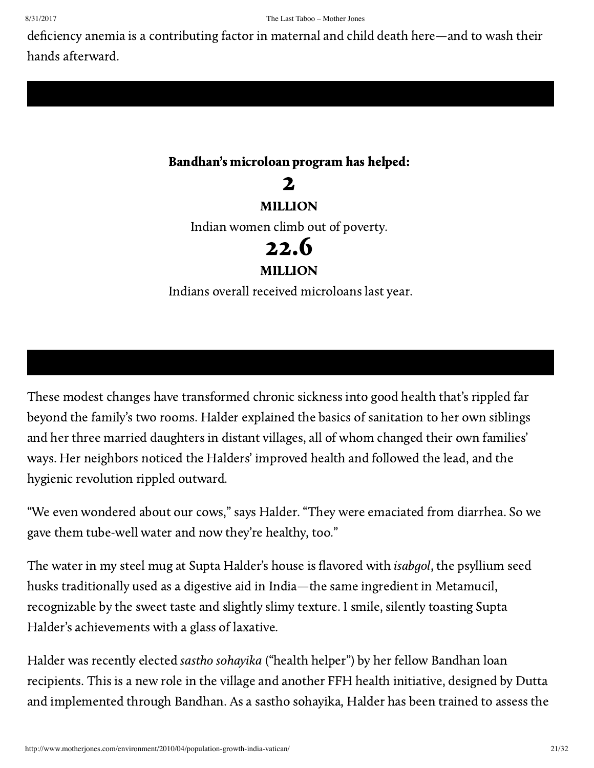deficiency anemia is a contributing factor in maternal and child death here—and to wash their hands afterward.

## Bandhan's microloan program has helped:

2 MILLION Indian women climb out of poverty. 22.6 MILLION Indians overall received microloans last year.

These modest changes have transformed chronic sickness into good health that's rippled far beyond the family's two rooms. Halder explained the basics of sanitation to her own siblings and her three married daughters in distant villages, all of whom changed their own families' ways. Her neighbors noticed the Halders' improved health and followed the lead, and the hygienic revolution rippled outward.

"We even wondered about our cows," says Halder. "They were emaciated from diarrhea. So we gave them tube-well water and now they're healthy, too."

The water in my steel mug at Supta Halder's house is flavored with isabgol, the psyllium seed husks traditionally used as a digestive aid in India—the same ingredient in Metamucil, recognizable by the sweet taste and slightly slimy texture. I smile, silently toasting Supta Halder's achievements with a glass of laxative.

Halder was recently elected sastho sohayika ("health helper") by her fellow Bandhan loan recipients. This is a new role in the village and another FFH health initiative, designed by Dutta and implemented through Bandhan. As a sastho sohayika, Halder has been trained to assess the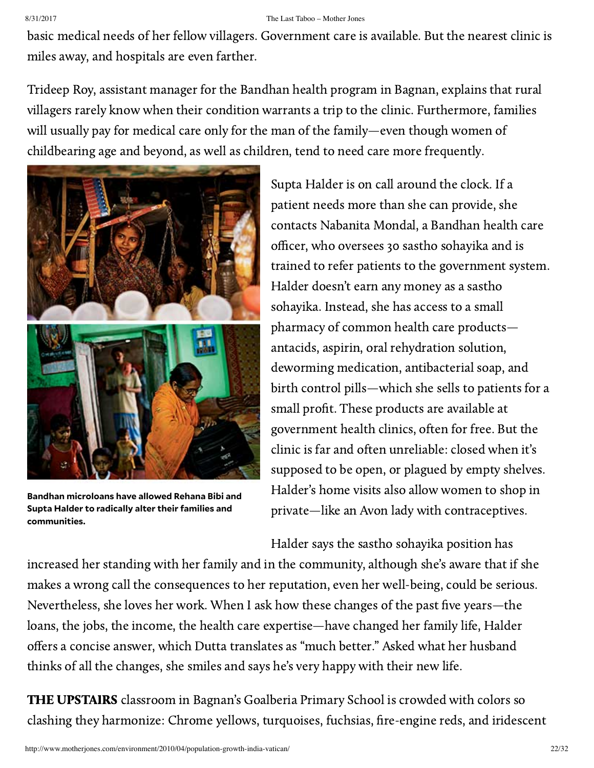basic medical needs of her fellow villagers. Government care is available. But the nearest clinic is miles away, and hospitals are even farther.

Trideep Roy, assistant manager for the Bandhan health program in Bagnan, explains that rural villagers rarely know when their condition warrants a trip to the clinic. Furthermore, families will usually pay for medical care only for the man of the family—even though women of childbearing age and beyond, as well as children, tend to need care more frequently.



**Bandhan microloans have allowed Rehana Bibi and Supta Halder to radically alter their families and communities.**

Supta Halder is on call around the clock. If a patient needs more than she can provide, she contacts Nabanita Mondal, a Bandhan health care officer, who oversees 30 sastho sohayika and is trained to refer patients to the government system. Halder doesn't earn any money as a sastho sohayika. Instead, she has access to a small pharmacy of common health care products antacids, aspirin, oral rehydration solution, deworming medication, antibacterial soap, and birth control pills—which she sells to patients for a small profit. These products are available at government health clinics, often for free. But the clinic is far and often unreliable: closed when it's supposed to be open, or plagued by empty shelves. Halder's home visits also allow women to shop in private—like an Avon lady with contraceptives.

Halder says the sastho sohayika position has

increased her standing with her family and in the community, although she's aware that if she makes a wrong call the consequences to her reputation, even her well-being, could be serious. Nevertheless, she loves her work. When I ask how these changes of the past five years—the loans, the jobs, the income, the health care expertise—have changed her family life, Halder offers a concise answer, which Dutta translates as "much better." Asked what her husband thinks of all the changes, she smiles and says he's very happy with their new life.

THE UPSTAIRS classroom in Bagnan's Goalberia Primary School is crowded with colors so clashing they harmonize: Chrome yellows, turquoises, fuchsias, fire-engine reds, and iridescent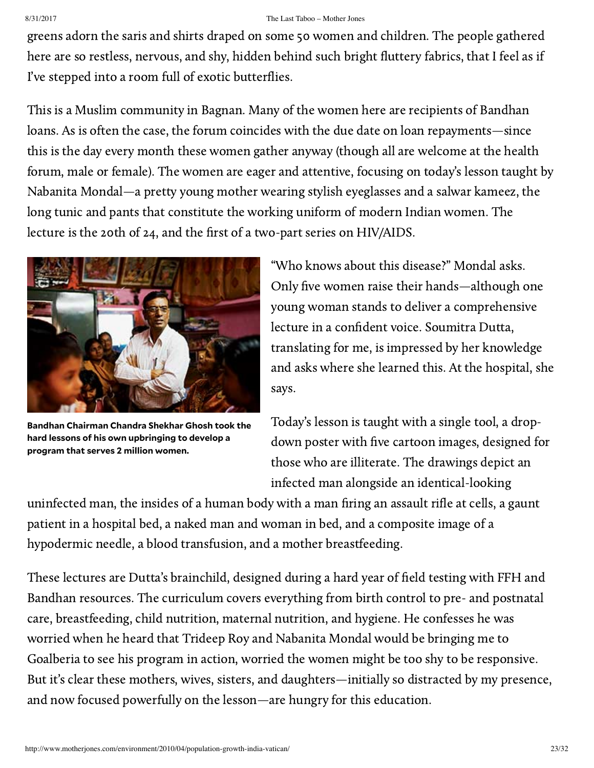greens adorn the saris and shirts draped on some 50 women and children. The people gathered here are so restless, nervous, and shy, hidden behind such bright fluttery fabrics, that I feel as if I've stepped into a room full of exotic butterflies.

This is a Muslim community in Bagnan. Many of the women here are recipients of Bandhan loans. As is often the case, the forum coincides with the due date on loan repayments—since this is the day every month these women gather anyway (though all are welcome at the health forum, male or female). The women are eager and attentive, focusing on today's lesson taught by Nabanita Mondal—a pretty young mother wearing stylish eyeglasses and a salwar kameez, the long tunic and pants that constitute the working uniform of modern Indian women. The lecture is the 20th of 24, and the first of a two-part series on HIV/AIDS.



**Bandhan Chairman Chandra Shekhar Ghosh took the hard lessons of his own upbringing to develop a program that serves 2 million women.**

"Who knows about this disease?" Mondal asks. Only five women raise their hands—although one young woman stands to deliver a comprehensive lecture in a confident voice. Soumitra Dutta, translating for me, is impressed by her knowledge and asks where she learned this. At the hospital, she says.

Today's lesson is taught with a single tool, a dropdown poster with five cartoon images, designed for those who are illiterate. The drawings depict an infected man alongside an identical-looking

uninfected man, the insides of a human body with a man firing an assault rifle at cells, a gaunt patient in a hospital bed, a naked man and woman in bed, and a composite image of a hypodermic needle, a blood transfusion, and a mother breastfeeding.

These lectures are Dutta's brainchild, designed during a hard year of field testing with FFH and Bandhan resources. The curriculum covers everything from birth control to pre- and postnatal care, breastfeeding, child nutrition, maternal nutrition, and hygiene. He confesses he was worried when he heard that Trideep Roy and Nabanita Mondal would be bringing me to Goalberia to see his program in action, worried the women might be too shy to be responsive. But it's clear these mothers, wives, sisters, and daughters—initially so distracted by my presence, and now focused powerfully on the lesson—are hungry for this education.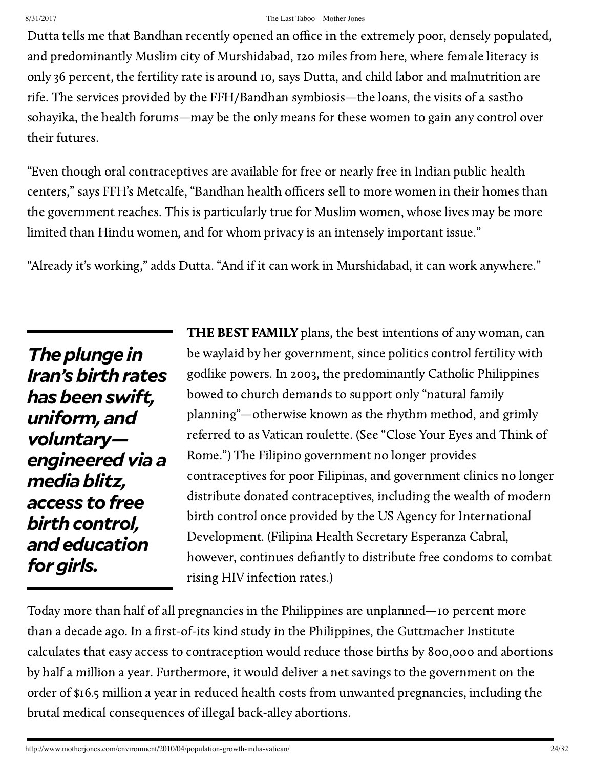Dutta tells me that Bandhan recently opened an office in the extremely poor, densely populated, and predominantly Muslim city of Murshidabad, 120 miles from here, where female literacy is only 36 percent, the fertility rate is around 10, says Dutta, and child labor and malnutrition are rife. The services provided by the FFH/Bandhan symbiosis—the loans, the visits of a sastho sohayika, the health forums—may be the only means for these women to gain any control over their futures.

"Even though oral contraceptives are available for free or nearly free in Indian public health centers," says FFH's Metcalfe, "Bandhan health officers sell to more women in their homes than the government reaches. This is particularly true for Muslim women, whose lives may be more limited than Hindu women, and for whom privacy is an intensely important issue."

"Already it's working," adds Dutta. "And if it can work in Murshidabad, it can work anywhere."

**The plunge in** Iran's birth rates *hasbeenswift, uniform, and voluntary engineeredvia a mediablitz, access tofree* birth control, *andeducation* for girls.

**THE BEST FAMILY** plans, the best intentions of any woman, can be waylaid by her government, since politics control fertility with godlike powers. In 2003, the predominantly Catholic Philippines bowed to church demands to support only "natural family planning"—otherwise known as the rhythm method, and grimly referred to as Vatican roulette. (See "Close Your Eyes and Think of Rome.") The Filipino [government](http://www.motherjones.com/get-free-acess) no longer provides contraceptives for poor Filipinas, and government clinics no longer distribute donated contraceptives, including the wealth of modern birth control once [provided](http://www.usaid.org/newsroom/) by the US Agency for International Development. (Filipina Health Secretary Esperanza Cabral, however, continues defiantly to distribute free condoms to combat rising HIV infection rates.)

Today more than half of all pregnancies in the Philippines are unplanned—10 percent more than a decade ago. In a first-of-its kind study in the Philippines, the Guttmacher Institute [calculates](http://www.guttmacher.org/pubs/2009/04/15/IB_MWCNP.pdf) that easy access to contraception would reduce those births by 800,000 and abortions by half a million a year. Furthermore, it would deliver a net savings to the government on the order of \$16.5 million a year in reduced health costs from unwanted pregnancies, including the brutal medical consequences of illegal back-alley abortions.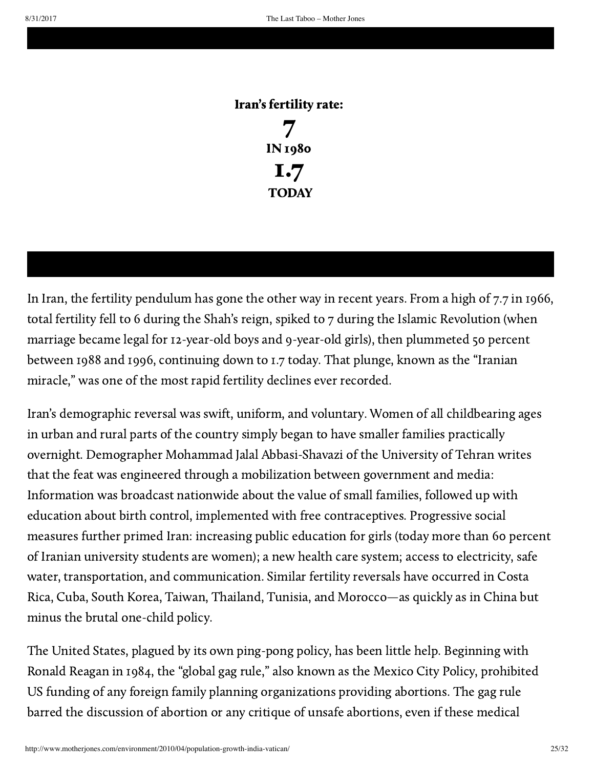### Iran's fertility rate:

7 IN 1980 1.7 **TODAY** 

## In Iran, the fertility pendulum has gone the other way in recent years. From a high of 7.7 in 1966, total fertility fell to 6 during the Shah's reign, spiked to 7 during the Islamic Revolution (when marriage became legal for 12-year-old boys and 9-year-old girls), then plummeted 50 percent between 1988 and 1996, [continuing](http://www.iussp.org/Brazil2001/s20/S20_02_Mehryar.pdf) down to 1.7 today. That plunge, known as the "Iranian miracle," was one of the most rapid fertility declines ever recorded.

Iran's demographic reversal was swift, uniform, and voluntary. Women of all childbearing ages in urban and rural parts of the country simply began to have smaller families practically overnight. Demographer Mohammad Jalal Abbasi-Shavazi of the University of Tehran writes that the feat was engineered through a mobilization between government and media: Information was broadcast nationwide about the value of small families, followed up with education about birth control, implemented with free contraceptives. Progressive social measures further primed Iran: increasing public education for girls (today more than 60 percent of Iranian university students are women); a new health care system; access to electricity, safe water, transportation, and communication. Similar fertility reversals have occurred in Costa Rica, Cuba, South Korea, Taiwan, Thailand, Tunisia, and Morocco—as quickly as in China but minus the brutal one-child policy.

The United States, plagued by its own ping-pong policy, has been little help. Beginning with Ronald Reagan in 1984, the "global gag rule," also known as the Mexico City Policy, prohibited US funding of any foreign family planning organizations providing abortions. The gag rule barred the discussion of abortion or any critique of unsafe abortions, even if these medical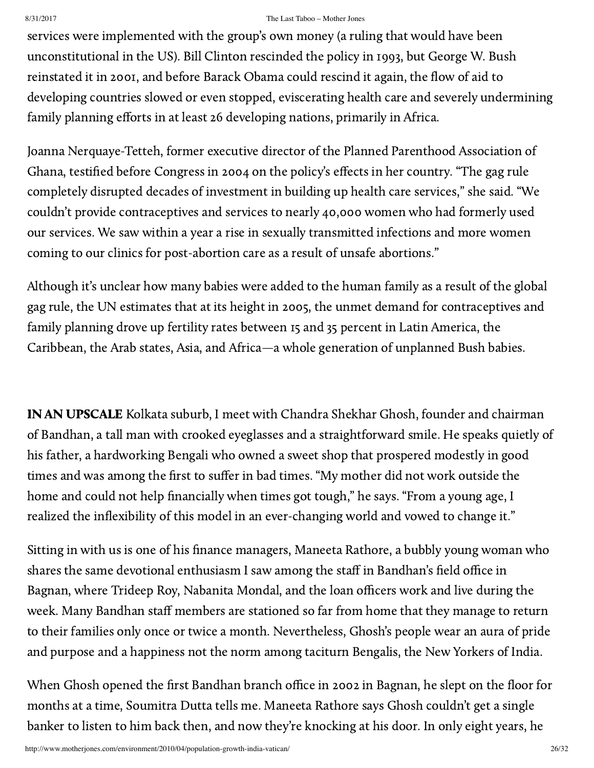services were implemented with the group's own money (a ruling that would have been unconstitutional in the US). Bill Clinton rescinded the policy in 1993, but George W. Bush reinstated it in 2001, and before Barack Obama could rescind it again, the flow of aid to developing countries slowed or even stopped, eviscerating health care and severely undermining family planning efforts in at least 26 [developing](http://reproductiverights.org/en/document/the-global-gag-rules-effects-on-ngos-in-56-countries) nations, primarily in Africa.

Joanna Nerquaye-Tetteh, former executive director of the Planned Parenthood Association of Ghana, testified before Congress in 2004 on the policy's effects in her country. "The gag rule completely disrupted decades of investment in building up health care services," she said. "We couldn't provide contraceptives and services to nearly 40,000 women who had formerly used our services. We saw within a year a rise in sexually transmitted infections and more women coming to our clinics for post-abortion care as a result of unsafe abortions."

Although it's unclear how many babies were added to the human family as a result of the global gag rule, the UN estimates that at its height in 2005, the unmet demand for contraceptives and family planning drove up fertility rates between 15 and 35 percent in Latin America, the Caribbean, the Arab states, Asia, and Africa—a whole generation of unplanned Bush babies.

IN AN UPSCALE Kolkata suburb, I meet with Chandra Shekhar Ghosh, founder and chairman of Bandhan, a tall man with crooked eyeglasses and a straightforward smile. He speaks quietly of his father, a hardworking Bengali who owned a sweet shop that prospered modestly in good times and was among the first to suffer in bad times. "My mother did not work outside the home and could not help financially when times got tough," he says. "From a young age, I realized the inflexibility of this model in an ever-changing world and vowed to change it."

Sitting in with us is one of his finance managers, Maneeta Rathore, a bubbly young woman who shares the same devotional enthusiasm I saw among the staff in Bandhan's field office in Bagnan, where Trideep Roy, Nabanita Mondal, and the loan officers work and live during the week. Many Bandhan staff members are stationed so far from home that they manage to return to their families only once or twice a month. Nevertheless, Ghosh's people wear an aura of pride and purpose and a happiness not the norm among taciturn Bengalis, the New Yorkers of India.

When Ghosh opened the first Bandhan branch office in 2002 in Bagnan, he slept on the floor for months at a time, Soumitra Dutta tells me. Maneeta Rathore says Ghosh couldn't get a single banker to listen to him back then, and now they're knocking at his door. In only eight years, he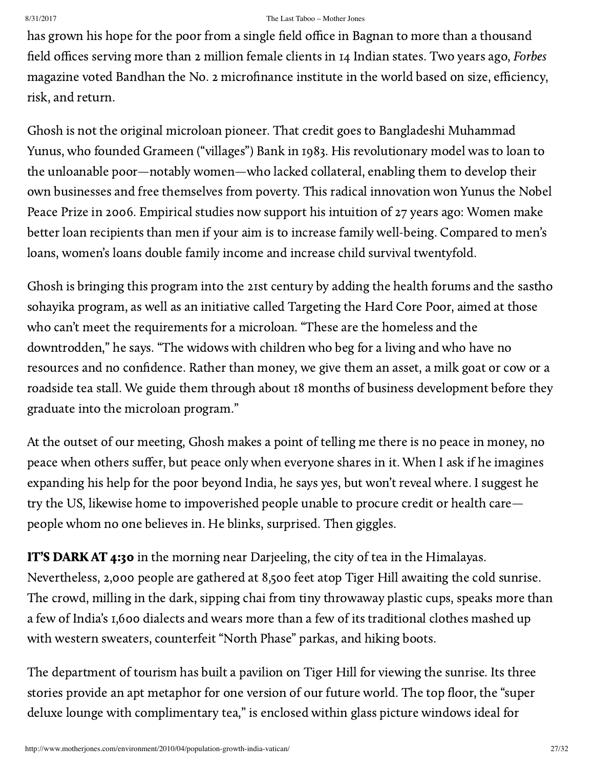has grown his hope for the poor from a single field office in Bagnan to more than a thousand field offices serving more than 2 million female clients in 14 Indian states. Two years ago, Forbes magazine voted Bandhan the No. 2 microfinance institute in the world based on size, efficiency, risk, and return.

Ghosh is not the original microloan pioneer. That credit goes to Bangladeshi Muhammad Yunus, who founded [Grameen](http://www.grameen-info.org/) ("villages") Bank in 1983. His revolutionary model was to loan to the unloanable poor—notably women—who lacked collateral, enabling them to develop their own businesses and free themselves from poverty. This radical innovation won Yunus the Nobel Peace Prize in 2006. Empirical studies now support his intuition of 27 years ago: Women make better loan [recipients](http://ideas.repec.org/a/ucp/jpolec/v106y1998i5p958-996.html) than men if your aim is to increase family well-being. Compared to men's loans, women's loans double family income and increase child survival twentyfold.

Ghosh is bringing this program into the 21st century by adding the health forums and the sastho sohayika program, as well as an initiative called Targeting the Hard Core Poor, aimed at those who can't meet the requirements for a microloan. "These are the homeless and the downtrodden," he says. "The widows with children who beg for a living and who have no resources and no confidence. Rather than money, we give them an asset, a milk goat or cow or a roadside tea stall. We guide them through about 18 months of business development before they graduate into the microloan program."

At the outset of our meeting, Ghosh makes a point of telling me there is no peace in money, no peace when others suffer, but peace only when everyone shares in it. When I ask if he imagines expanding his help for the poor beyond India, he says yes, but won't reveal where. I suggest he try the US, likewise home to impoverished people unable to procure credit or health care people whom no one believes in. He blinks, surprised. Then giggles.

IT'S DARK AT 4:30 in the morning near Darjeeling, the city of tea in the Himalayas. Nevertheless, 2,000 people are gathered at 8,500 feet atop Tiger Hill awaiting the cold sunrise. The crowd, milling in the dark, sipping chai from tiny throwaway plastic cups, speaks more than a few of India's 1,600 dialects and wears more than a few of its traditional clothes mashed up with western sweaters, [counterfeit](http://www.galenfrysinger.com/tiger_hill_sikkim.htm) "North Phase" parkas, and hiking boots.

The department of tourism has built a pavilion on Tiger Hill for viewing the sunrise. Its three stories provide an apt metaphor for one version of our future world. The top floor, the "super deluxe lounge with complimentary tea," is enclosed within glass picture windows ideal for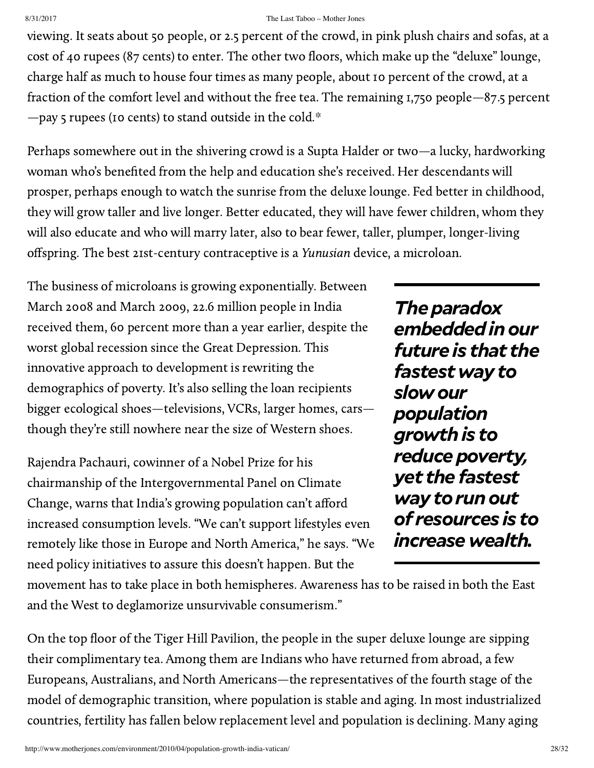viewing. It seats about 50 people, or 2.5 percent of the crowd, in pink plush chairs and sofas, at a cost of 40 rupees (87 cents) to enter. The other two floors, which make up the "deluxe" lounge, charge half as much to house four times as many people, about 10 percent of the crowd, at a fraction of the comfort level and without the free tea. The remaining 1,750 people—87.5 percent —pay 5 rupees (10 cents) to stand outside in the cold[.\\*](#page-30-0)

Perhaps somewhere out in the shivering crowd is a Supta Halder or two—a lucky, hardworking woman who's benefited from the help and education she's received. Her descendants will prosper, perhaps enough to watch the sunrise from the deluxe lounge. Fed better in childhood, they will grow taller and live longer. Better educated, they will have fewer children, whom they will also educate and who will marry later, also to bear fewer, taller, plumper, longer-living offspring. The best 21st-century contraceptive is a Yunusian device, a microloan.

The business of microloans is growing exponentially. Between March 2008 and March 2009, 22.6 million people in India received them, 60 [percent](http://online.wsj.com/article/SB125650454944206667.html) more than a year earlier, despite the worst global recession since the Great Depression. This innovative approach to development is rewriting the demographics of poverty. It's also selling the loan recipients bigger ecological shoes—televisions, VCRs, larger homes, cars though they're still nowhere near the size of Western shoes.

Rajendra Pachauri, cowinner of a Nobel Prize for his chairmanship of the Intergovernmental Panel on Climate Change, warns that India's growing population can't afford increased consumption levels. "We can't support lifestyles even remotely like those in Europe and North America," he says. "We need policy initiatives to assure this doesn't happen. But the

**The paradox** *embeddedinour future is that the fastestwayto slowour population growthis to* reduce poverty, *yet the fastest* way to run out *of resources is to increasewealth.*

movement has to take place in both hemispheres. Awareness has to be raised in both the East and the West to deglamorize unsurvivable consumerism."

On the top floor of the Tiger Hill Pavilion, the people in the super deluxe lounge are sipping their complimentary tea. Among them are Indians who have returned from abroad, a few Europeans, Australians, and North Americans—the representatives of the fourth stage of the model of demographic transition, where population is stable and aging. In most industrialized countries, fertility has fallen below replacement level and population is declining. Many aging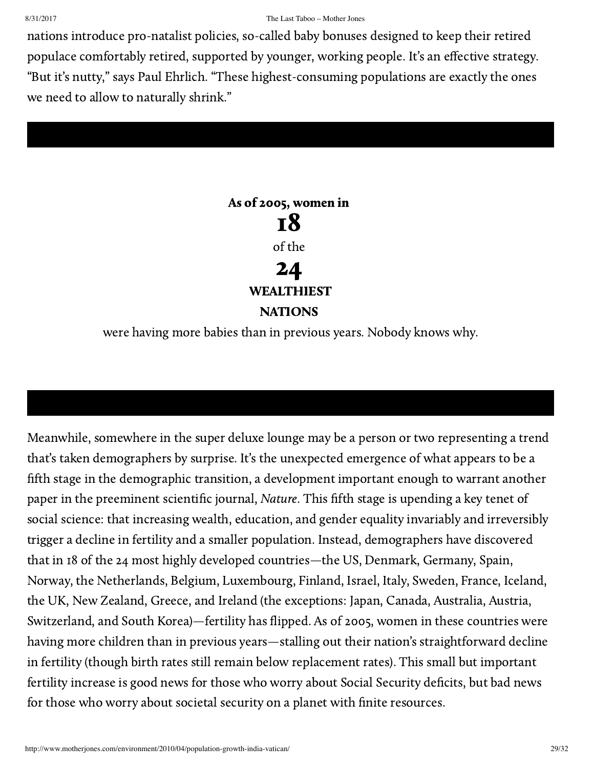nations introduce pro-natalist policies, so-called baby bonuses designed to keep their retired populace comfortably retired, supported by younger, working people. It's an effective strategy. "But it's nutty," says Paul Ehrlich. "These highest-consuming populations are exactly the ones we need to allow to naturally shrink."

## As of 2005, women in 18 of the 24 WEALTHIEST **NATIONS**

were having more babies than in previous years. Nobody knows why.

Meanwhile, somewhere in the super deluxe lounge may be a person or two representing a trend that's taken demographers by surprise. It's the unexpected emergence of what appears to be a fifth stage in the demographic transition, a development important enough to warrant another paper in the [preeminent](http://www.nature.com/nature/journal/v460/n7256/abs/nature08230.html) scientific journal, Nature. This fifth stage is upending a key tenet of social science: that increasing wealth, education, and gender equality invariably and irreversibly trigger a decline in fertility and a smaller population. Instead, demographers have discovered that in 18 of [the](http://www.nature.com/nature/journal/v460/n7256/abs/nature08230.html) 24 most highly developed countries—the US, Denmark, Germany, Spain, Norway, the Netherlands, Belgium, Luxembourg, Finland, Israel, Italy, Sweden, France, Iceland, the UK, New Zealand, Greece, and Ireland (the exceptions: Japan, Canada, Australia, Austria, Switzerland, and South Korea)—fertility has flipped. As of 2005, women in these countries were having more children than in previous years—stalling out their nation's straightforward decline in fertility (though birth rates still remain below replacement rates). This small but important fertility increase is good news for those who worry about Social Security deficits, but bad news for those who worry about societal security on a planet with finite resources.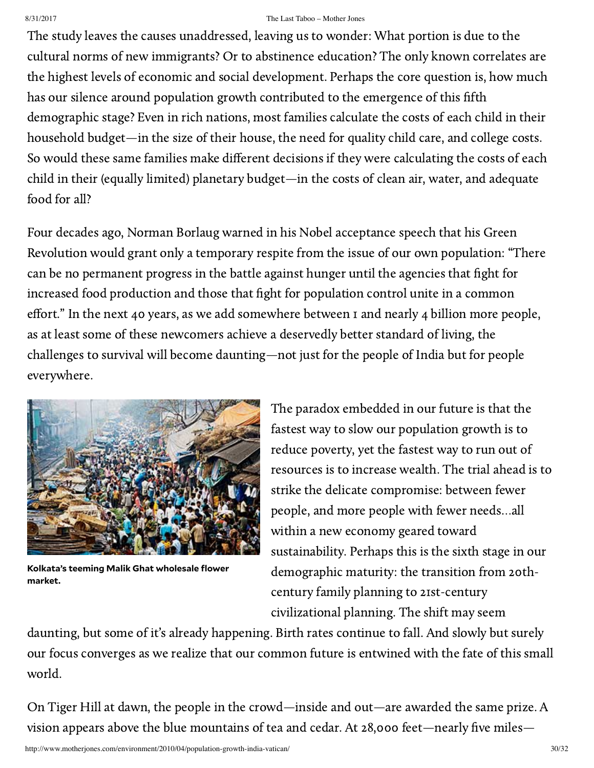The study leaves the causes unaddressed, leaving us to wonder: What portion is due to the cultural norms of new immigrants? Or to abstinence education? The only known correlates are the highest levels of economic and social development. Perhaps the core question is, how much has our silence around population growth contributed to the emergence of this fifth demographic stage? Even in rich nations, most families calculate the costs of each child in their household budget—in the size of their house, the need for quality child care, and college costs. So would these same families make different decisions if they were calculating the costs of each child in their (equally limited) planetary budget—in the costs of clean air, water, and adequate food for all?

Four decades ago, Norman Borlaug warned in his Nobel [acceptance](http://nobelprize.org/nobel_prizes/peace/laureates/1970/borlaug-acceptance.html) speech that his Green Revolution would grant only a temporary respite from the issue of our own population: "There can be no permanent progress in the battle against hunger until the agencies that fight for increased food production and those that fight for population control unite in a common effort." In the next 40 years, as we add somewhere between 1 and nearly 4 billion more people, as at least some of these newcomers achieve a deservedly better standard of living, the challenges to survival will become daunting—not just for the people of India but for people everywhere.



**Kolkata's teeming Malik Ghat wholesale flower market.**

The paradox embedded in our future is that the fastest way to slow our population growth is to reduce poverty, yet the fastest way to run out of resources is to increase wealth. The trial ahead is to strike the delicate compromise: between fewer people, and more people with fewer needs…all within a new economy geared toward sustainability. Perhaps this is the sixth stage in our demographic maturity: the transition from 20thcentury family planning to 21st-century civilizational planning. The shift may seem

daunting, but some of it's already happening. Birth rates continue to fall. And slowly but surely our focus converges as we realize that our common future is entwined with the fate of this small world.

On Tiger Hill at dawn, the people in the crowd—inside and out—are awarded the same prize. A vision appears above the blue mountains of tea and cedar. At 28,000 feet—nearly five miles—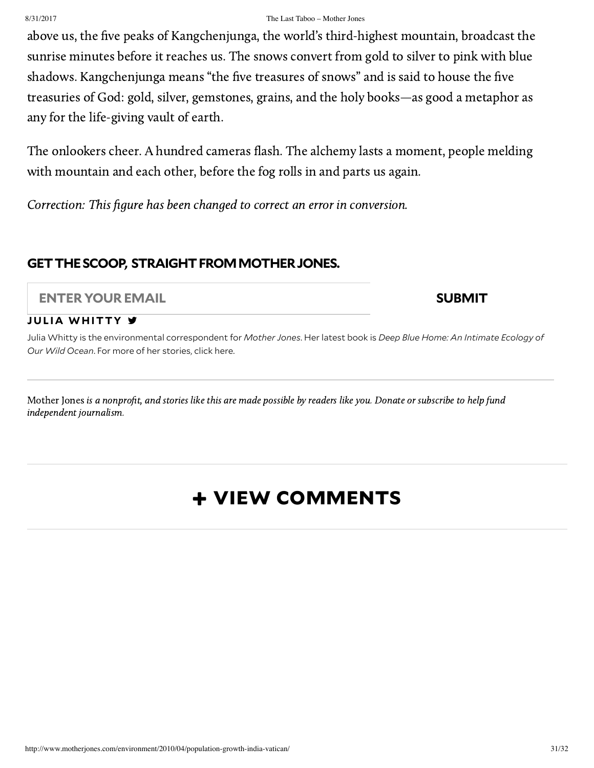above us, the five peaks of Kangchenjunga, the world's third-highest mountain, broadcast the sunrise minutes before it reaches us. The snows convert from gold to silver to pink with blue shadows. Kangchenjunga means "the five treasures of snows" and is said to house the five treasuries of God: gold, silver, gemstones, grains, and the holy books—as good a metaphor as any for the life-giving vault of earth.

The onlookers cheer. A hundred cameras flash. The alchemy lasts a moment, people melding with mountain and each other, before the fog rolls in and parts us again.

<span id="page-30-0"></span>Correction: This figure has been changed to correct an error in conversion.

## **GETTHESCOOP, STRAIGHTFROMMOTHERJONES.**

### **ENTER YOUREMAIL SUBMIT**

### **JULIA WH[ITTY](http://www.motherjones.com/author/julia-whitty/)**

Julia Whitty is the environmental correspondent for *Mother Jones*. Her latest book is *Deep Blue [Home](http://www.julia-whitty.com/books/): An Intimate Ecology of Our Wild Ocean*. For more of her stories, click [here](http://www.motherjones.com/authors/julia-whitty).

Mother Jones is a nonprofit, and stories like this are made possible by readers like you. [Donate](https://secure.motherjones.com/fnx/?action=SUBSCRIPTION&b_country=United+States&pub_code=DON&term_pub=DON&list_source=7HEGP004&term=XX.1.50.00.DON.D.0.7264) or [subscribe](https://secure.motherjones.com/fnx/?action=SUBSCRIPTION&b_country=United+States&pub_code=MJM&term_pub=MJM&list_source=SEGYN4) to help fund independent journalism.

## + VIEW COMMENTS